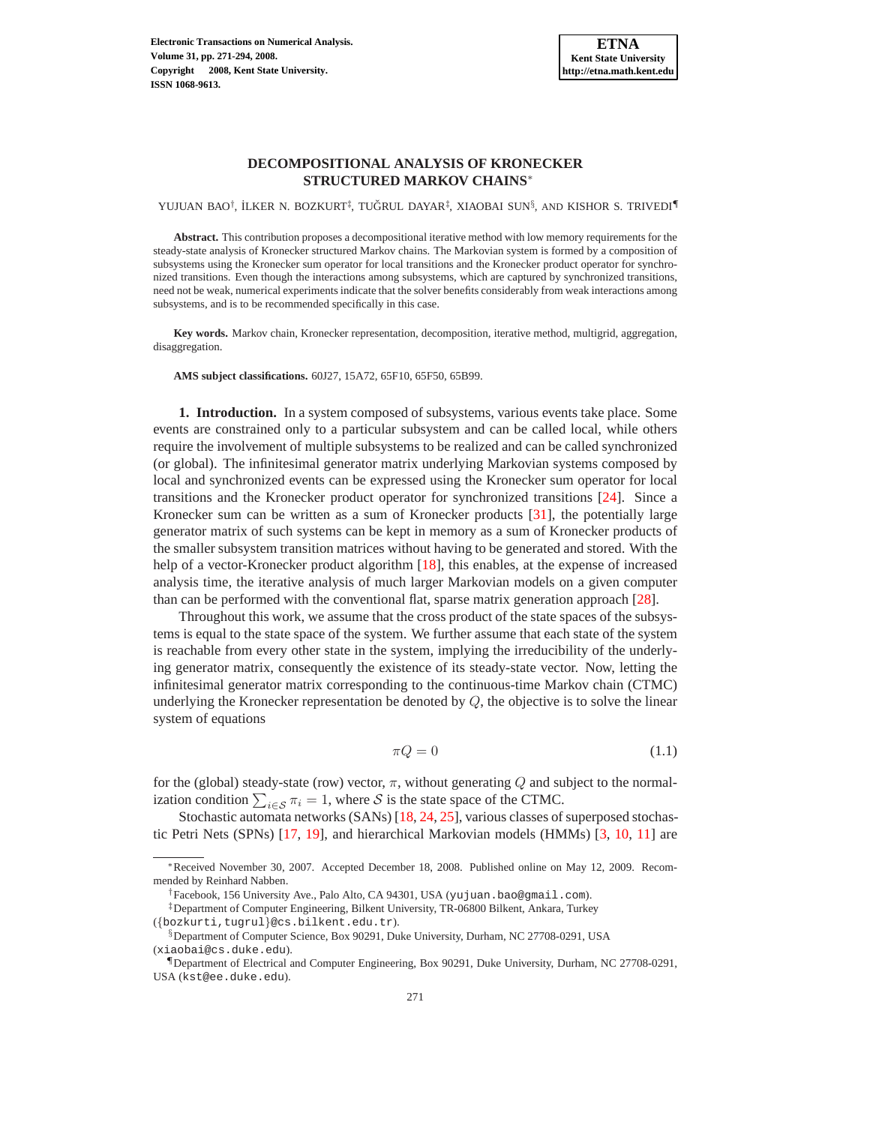YUJUAN BAO†, İLKER N. BOZKURT‡, TUĞRUL DAYAR‡, XIAOBAI SUN§, AND KISHOR S. TRIVEDI¶

**Abstract.** This contribution proposes a decompositional iterative method with low memory requirements for the steady-state analysis of Kronecker structured Markov chains. The Markovian system is formed by a composition of subsystems using the Kronecker sum operator for local transitions and the Kronecker product operator for synchronized transitions. Even though the interactions among subsystems, which are captured by synchronized transitions, need not be weak, numerical experiments indicate that the solver benefits considerably from weak interactions among subsystems, and is to be recommended specifically in this case.

**Key words.** Markov chain, Kronecker representation, decomposition, iterative method, multigrid, aggregation, disaggregation.

**AMS subject classifications.** 60J27, 15A72, 65F10, 65F50, 65B99.

**1. Introduction.** In a system composed of subsystems, various events take place. Some events are constrained only to a particular subsystem and can be called local, while others require the involvement of multiple subsystems to be realized and can be called synchronized (or global). The infinitesimal generator matrix underlying Markovian systems composed by local and synchronized events can be expressed using the Kronecker sum operator for local transitions and the Kronecker product operator for synchronized transitions [\[24\]](#page-22-0). Since a Kronecker sum can be written as a sum of Kronecker products [\[31\]](#page-23-0), the potentially large generator matrix of such systems can be kept in memory as a sum of Kronecker products of the smaller subsystem transition matrices without having to be generated and stored. With the help of a vector-Kronecker product algorithm [\[18\]](#page-22-1), this enables, at the expense of increased analysis time, the iterative analysis of much larger Markovian models on a given computer than can be performed with the conventional flat, sparse matrix generation approach [\[28\]](#page-22-2).

Throughout this work, we assume that the cross product of the state spaces of the subsystems is equal to the state space of the system. We further assume that each state of the system is reachable from every other state in the system, implying the irreducibility of the underlying generator matrix, consequently the existence of its steady-state vector. Now, letting the infinitesimal generator matrix corresponding to the continuous-time Markov chain (CTMC) underlying the Kronecker representation be denoted by  $Q$ , the objective is to solve the linear system of equations

<span id="page-0-0"></span>
$$
\pi Q = 0 \tag{1.1}
$$

for the (global) steady-state (row) vector,  $\pi$ , without generating Q and subject to the normalization condition  $\sum_{i \in \mathcal{S}} \pi_i = 1$ , where  $\mathcal{S}$  is the state space of the CTMC.

Stochastic automata networks (SANs) [\[18,](#page-22-1) [24,](#page-22-0) [25\]](#page-22-3), various classes of superposed stochastic Petri Nets (SPNs) [\[17,](#page-22-4) [19\]](#page-22-5), and hierarchical Markovian models (HMMs) [\[3,](#page-22-6) [10,](#page-22-7) [11\]](#page-22-8) are

<sup>∗</sup>Received November 30, 2007. Accepted December 18, 2008. Published online on May 12, 2009. Recommended by Reinhard Nabben.

<sup>†</sup>Facebook, 156 University Ave., Palo Alto, CA 94301, USA (yujuan.bao@gmail.com).

<sup>‡</sup>Department of Computer Engineering, Bilkent University, TR-06800 Bilkent, Ankara, Turkey

<sup>(</sup>{bozkurti,tugrul}@cs.bilkent.edu.tr).

<sup>§</sup>Department of Computer Science, Box 90291, Duke University, Durham, NC 27708-0291, USA (xiaobai@cs.duke.edu).

<sup>¶</sup>Department of Electrical and Computer Engineering, Box 90291, Duke University, Durham, NC 27708-0291, USA (kst@ee.duke.edu).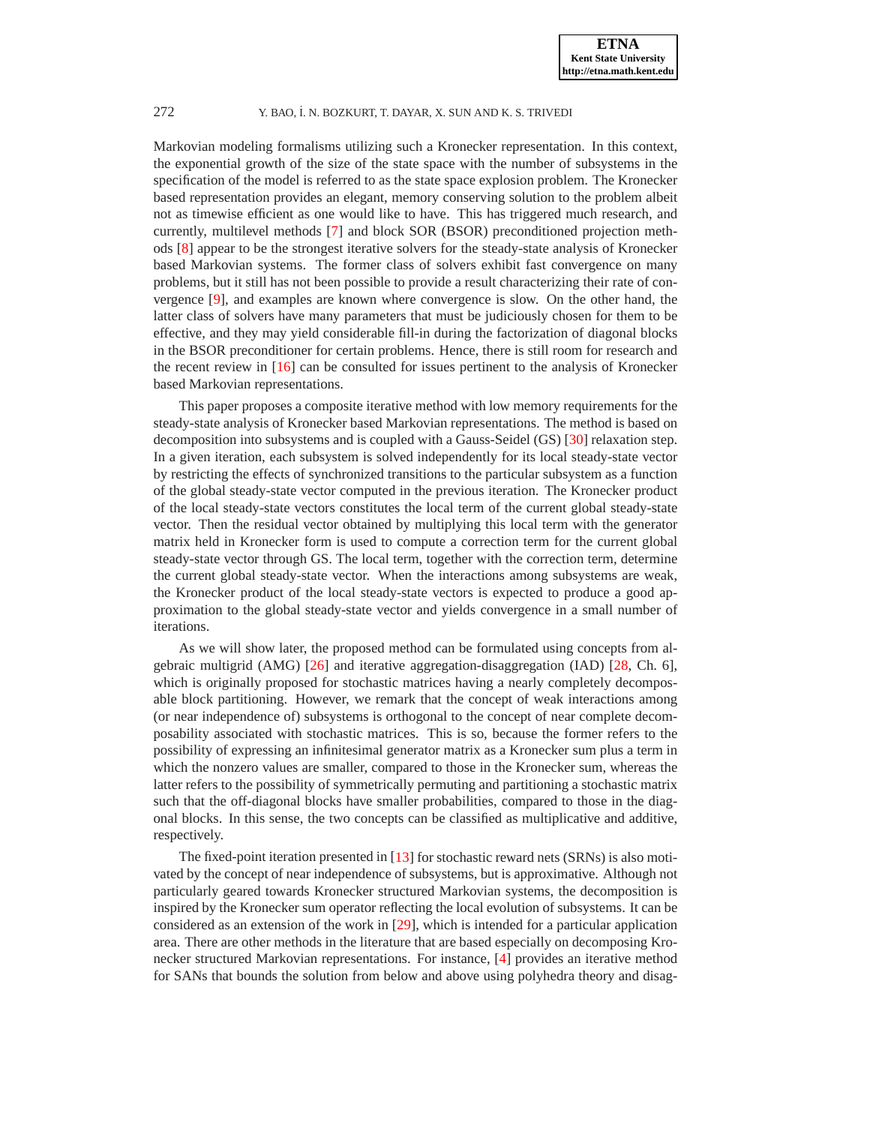Markovian modeling formalisms utilizing such a Kronecker representation. In this context, the exponential growth of the size of the state space with the number of subsystems in the specification of the model is referred to as the state space explosion problem. The Kronecker based representation provides an elegant, memory conserving solution to the problem albeit not as timewise efficient as one would like to have. This has triggered much research, and currently, multilevel methods [\[7\]](#page-22-9) and block SOR (BSOR) preconditioned projection methods [\[8\]](#page-22-10) appear to be the strongest iterative solvers for the steady-state analysis of Kronecker based Markovian systems. The former class of solvers exhibit fast convergence on many problems, but it still has not been possible to provide a result characterizing their rate of convergence [\[9\]](#page-22-11), and examples are known where convergence is slow. On the other hand, the latter class of solvers have many parameters that must be judiciously chosen for them to be effective, and they may yield considerable fill-in during the factorization of diagonal blocks in the BSOR preconditioner for certain problems. Hence, there is still room for research and the recent review in [\[16\]](#page-22-12) can be consulted for issues pertinent to the analysis of Kronecker based Markovian representations.

This paper proposes a composite iterative method with low memory requirements for the steady-state analysis of Kronecker based Markovian representations. The method is based on decomposition into subsystems and is coupled with a Gauss-Seidel (GS) [\[30\]](#page-23-1) relaxation step. In a given iteration, each subsystem is solved independently for its local steady-state vector by restricting the effects of synchronized transitions to the particular subsystem as a function of the global steady-state vector computed in the previous iteration. The Kronecker product of the local steady-state vectors constitutes the local term of the current global steady-state vector. Then the residual vector obtained by multiplying this local term with the generator matrix held in Kronecker form is used to compute a correction term for the current global steady-state vector through GS. The local term, together with the correction term, determine the current global steady-state vector. When the interactions among subsystems are weak, the Kronecker product of the local steady-state vectors is expected to produce a good approximation to the global steady-state vector and yields convergence in a small number of iterations.

As we will show later, the proposed method can be formulated using concepts from algebraic multigrid (AMG) [\[26\]](#page-22-13) and iterative aggregation-disaggregation (IAD) [\[28,](#page-22-2) Ch. 6], which is originally proposed for stochastic matrices having a nearly completely decomposable block partitioning. However, we remark that the concept of weak interactions among (or near independence of) subsystems is orthogonal to the concept of near complete decomposability associated with stochastic matrices. This is so, because the former refers to the possibility of expressing an infinitesimal generator matrix as a Kronecker sum plus a term in which the nonzero values are smaller, compared to those in the Kronecker sum, whereas the latter refers to the possibility of symmetrically permuting and partitioning a stochastic matrix such that the off-diagonal blocks have smaller probabilities, compared to those in the diagonal blocks. In this sense, the two concepts can be classified as multiplicative and additive, respectively.

The fixed-point iteration presented in [\[13\]](#page-22-14) for stochastic reward nets (SRNs) is also motivated by the concept of near independence of subsystems, but is approximative. Although not particularly geared towards Kronecker structured Markovian systems, the decomposition is inspired by the Kronecker sum operator reflecting the local evolution of subsystems. It can be considered as an extension of the work in [\[29\]](#page-22-15), which is intended for a particular application area. There are other methods in the literature that are based especially on decomposing Kronecker structured Markovian representations. For instance, [\[4\]](#page-22-16) provides an iterative method for SANs that bounds the solution from below and above using polyhedra theory and disag-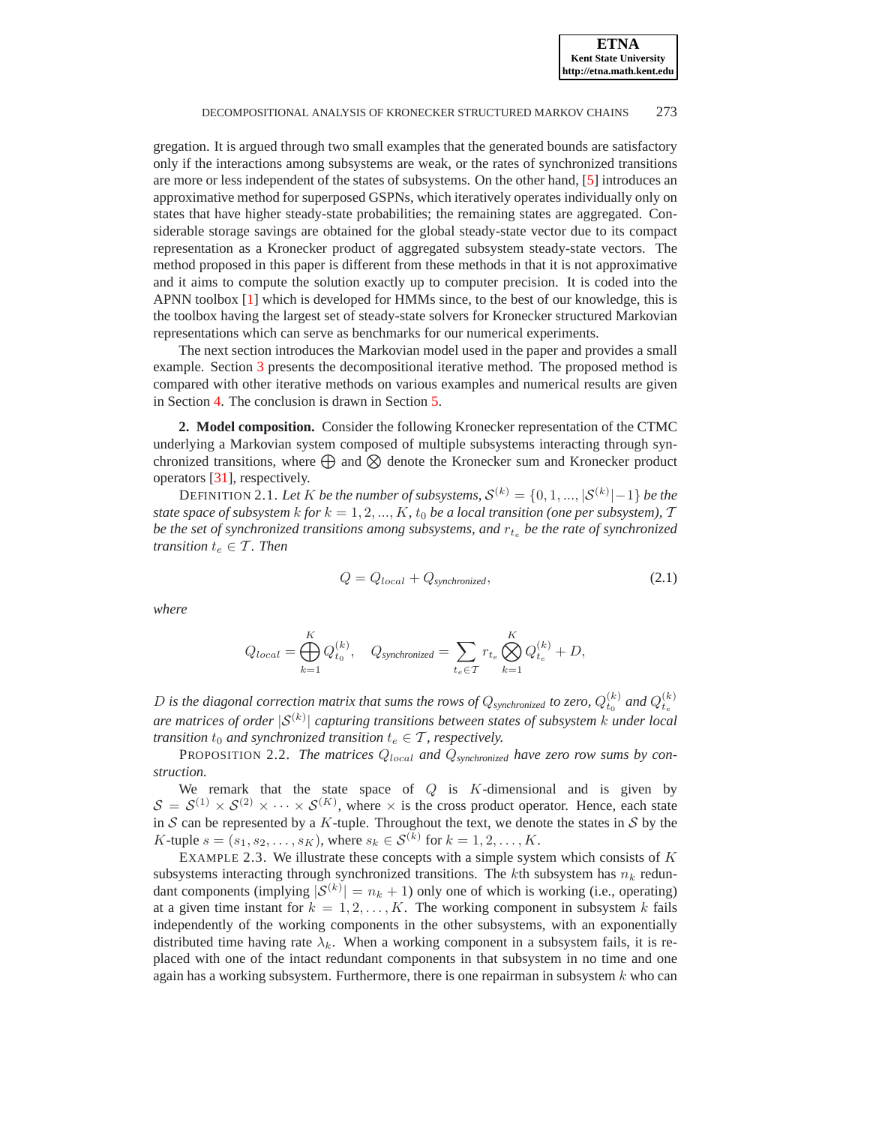gregation. It is argued through two small examples that the generated bounds are satisfactory only if the interactions among subsystems are weak, or the rates of synchronized transitions are more or less independent of the states of subsystems. On the other hand, [\[5\]](#page-22-17) introduces an approximative method for superposed GSPNs, which iteratively operates individually only on states that have higher steady-state probabilities; the remaining states are aggregated. Considerable storage savings are obtained for the global steady-state vector due to its compact representation as a Kronecker product of aggregated subsystem steady-state vectors. The method proposed in this paper is different from these methods in that it is not approximative and it aims to compute the solution exactly up to computer precision. It is coded into the APNN toolbox [\[1\]](#page-22-18) which is developed for HMMs since, to the best of our knowledge, this is the toolbox having the largest set of steady-state solvers for Kronecker structured Markovian representations which can serve as benchmarks for our numerical experiments.

The next section introduces the Markovian model used in the paper and provides a small example. Section [3](#page-4-0) presents the decompositional iterative method. The proposed method is compared with other iterative methods on various examples and numerical results are given in Section [4.](#page-13-0) The conclusion is drawn in Section [5.](#page-21-0)

**2. Model composition.** Consider the following Kronecker representation of the CTMC underlying a Markovian system composed of multiple subsystems interacting through synchronized transitions, where  $\bigoplus$  and  $\bigotimes$  denote the Kronecker sum and Kronecker product operators [\[31\]](#page-23-0), respectively.

DEFINITION 2.1. Let  $K$  be the number of subsystems,  $\mathcal{S}^{(k)} = \{0,1,...,|\mathcal{S}^{(k)}|-1\}$  be the *state space of subsystem* k for  $k = 1, 2, ..., K$ , t<sub>0</sub> be a local transition (one per subsystem), T be the set of synchronized transitions among subsystems, and  $r_{t_e}$  be the rate of synchronized *transition*  $t_e \in \mathcal{T}$ *. Then* 

$$
Q = Q_{local} + Q_{synchronized}, \t\t(2.1)
$$

*where*

<span id="page-2-1"></span>
$$
Q_{local} = \bigoplus_{k=1}^{K} Q_{t_0}^{(k)}, \quad Q_{synchronized} = \sum_{t_e \in \mathcal{T}} r_{t_e} \bigotimes_{k=1}^{K} Q_{t_e}^{(k)} + D,
$$

D is the diagonal correction matrix that sums the rows of  $Q_{\text{synchronized}}$  to zero,  $Q_{t_0}^{(k)}$  and  $Q_{t_e}^{(k)}$ *are matrices of order* |S(k) | *capturing transitions between states of subsystem* k *under local transition*  $t_0$  *and synchronized transition*  $t_e \in \mathcal{T}$ *, respectively.* 

<span id="page-2-2"></span>PROPOSITION 2.2. The matrices  $Q_{local}$  and  $Q_{synchronized}$  have zero row sums by con*struction.*

We remark that the state space of  $Q$  is  $K$ -dimensional and is given by  $S = S^{(1)} \times S^{(2)} \times \cdots \times S^{(K)}$ , where  $\times$  is the cross product operator. Hence, each state in S can be represented by a K-tuple. Throughout the text, we denote the states in S by the *K*-tuple  $s = (s_1, s_2, \dots, s_K)$ , where  $s_k \in S^{(k)}$  for  $k = 1, 2, \dots, K$ .

<span id="page-2-0"></span>EXAMPLE 2.3. We illustrate these concepts with a simple system which consists of  $K$ subsystems interacting through synchronized transitions. The  $k$ th subsystem has  $n_k$  redundant components (implying  $|S^{(k)}| = n_k + 1$ ) only one of which is working (i.e., operating) at a given time instant for  $k = 1, 2, ..., K$ . The working component in subsystem k fails independently of the working components in the other subsystems, with an exponentially distributed time having rate  $\lambda_k$ . When a working component in a subsystem fails, it is replaced with one of the intact redundant components in that subsystem in no time and one again has a working subsystem. Furthermore, there is one repairman in subsystem  $k$  who can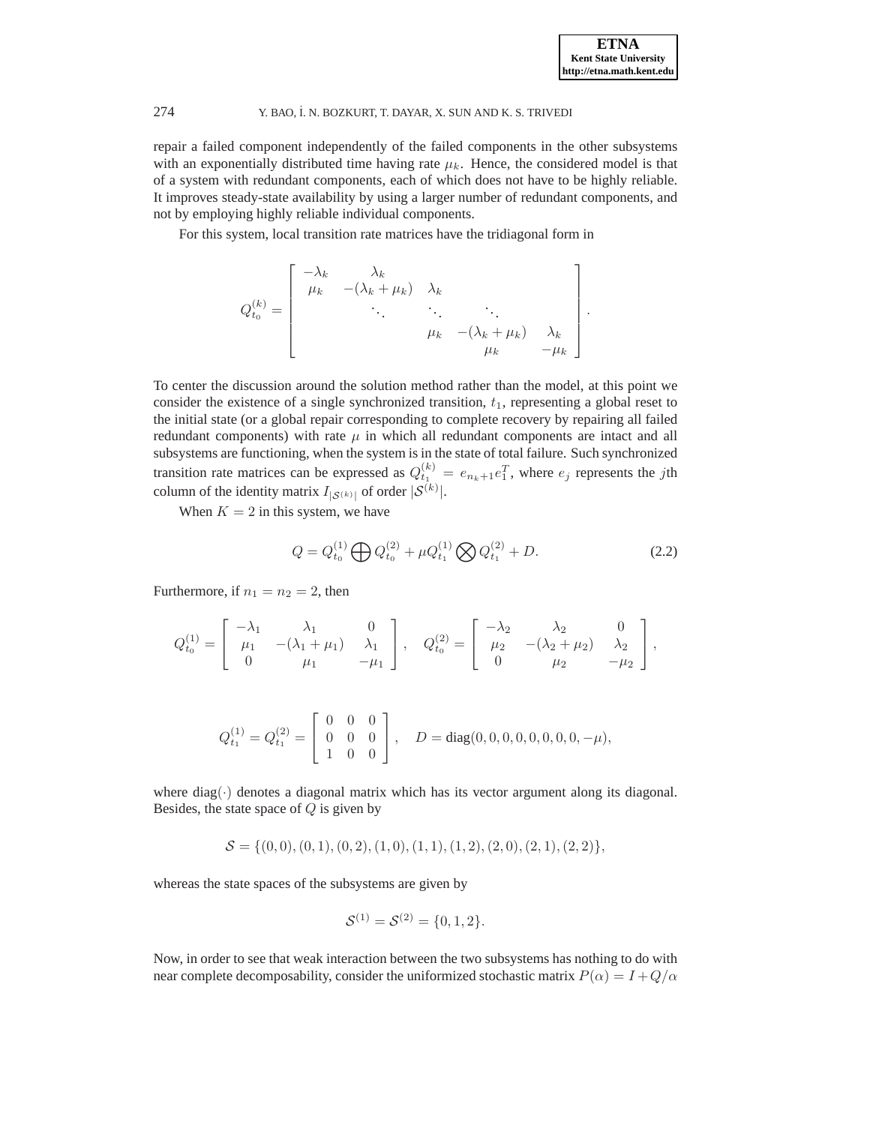repair a failed component independently of the failed components in the other subsystems with an exponentially distributed time having rate  $\mu_k$ . Hence, the considered model is that of a system with redundant components, each of which does not have to be highly reliable. It improves steady-state availability by using a larger number of redundant components, and not by employing highly reliable individual components.

For this system, local transition rate matrices have the tridiagonal form in

$$
Q_{t_0}^{(k)} = \begin{bmatrix} -\lambda_k & \lambda_k & & \\ \mu_k & -(\lambda_k + \mu_k) & \lambda_k & & \\ & \ddots & \ddots & \ddots & \\ & & \mu_k & -(\lambda_k + \mu_k) & \lambda_k \\ & & & \mu_k & -\mu_k \end{bmatrix}.
$$

To center the discussion around the solution method rather than the model, at this point we consider the existence of a single synchronized transition,  $t_1$ , representing a global reset to the initial state (or a global repair corresponding to complete recovery by repairing all failed redundant components) with rate  $\mu$  in which all redundant components are intact and all subsystems are functioning, when the system is in the state of total failure. Such synchronized transition rate matrices can be expressed as  $Q_{t_1}^{(k)} = e_{n_k+1}e_1^T$ , where  $e_j$  represents the jth column of the identity matrix  $I_{|S^{(k)}|}$  of order  $|S^{(k)}|$ .

<span id="page-3-0"></span>When  $K = 2$  in this system, we have

$$
Q = Q_{t_0}^{(1)} \bigoplus Q_{t_0}^{(2)} + \mu Q_{t_1}^{(1)} \bigotimes Q_{t_1}^{(2)} + D. \tag{2.2}
$$

Furthermore, if  $n_1 = n_2 = 2$ , then

$$
Q_{t_0}^{(1)} = \begin{bmatrix} -\lambda_1 & \lambda_1 & 0 \\ \mu_1 & -(\lambda_1 + \mu_1) & \lambda_1 \\ 0 & \mu_1 & -\mu_1 \end{bmatrix}, \quad Q_{t_0}^{(2)} = \begin{bmatrix} -\lambda_2 & \lambda_2 & 0 \\ \mu_2 & -(\lambda_2 + \mu_2) & \lambda_2 \\ 0 & \mu_2 & -\mu_2 \end{bmatrix},
$$

$$
Q_{t_1}^{(1)} = Q_{t_1}^{(2)} = \begin{bmatrix} 0 & 0 & 0 \\ 0 & 0 & 0 \\ 1 & 0 & 0 \end{bmatrix}, \quad D = diag(0, 0, 0, 0, 0, 0, 0, 0, -\mu),
$$

where diag( $\cdot$ ) denotes a diagonal matrix which has its vector argument along its diagonal. Besides, the state space of  $Q$  is given by

$$
\mathcal{S} = \{ (0,0), (0,1), (0,2), (1,0), (1,1), (1,2), (2,0), (2,1), (2,2) \},
$$

whereas the state spaces of the subsystems are given by

$$
\mathcal{S}^{(1)} = \mathcal{S}^{(2)} = \{0, 1, 2\}.
$$

Now, in order to see that weak interaction between the two subsystems has nothing to do with near complete decomposability, consider the uniformized stochastic matrix  $P(\alpha) = I + Q/\alpha$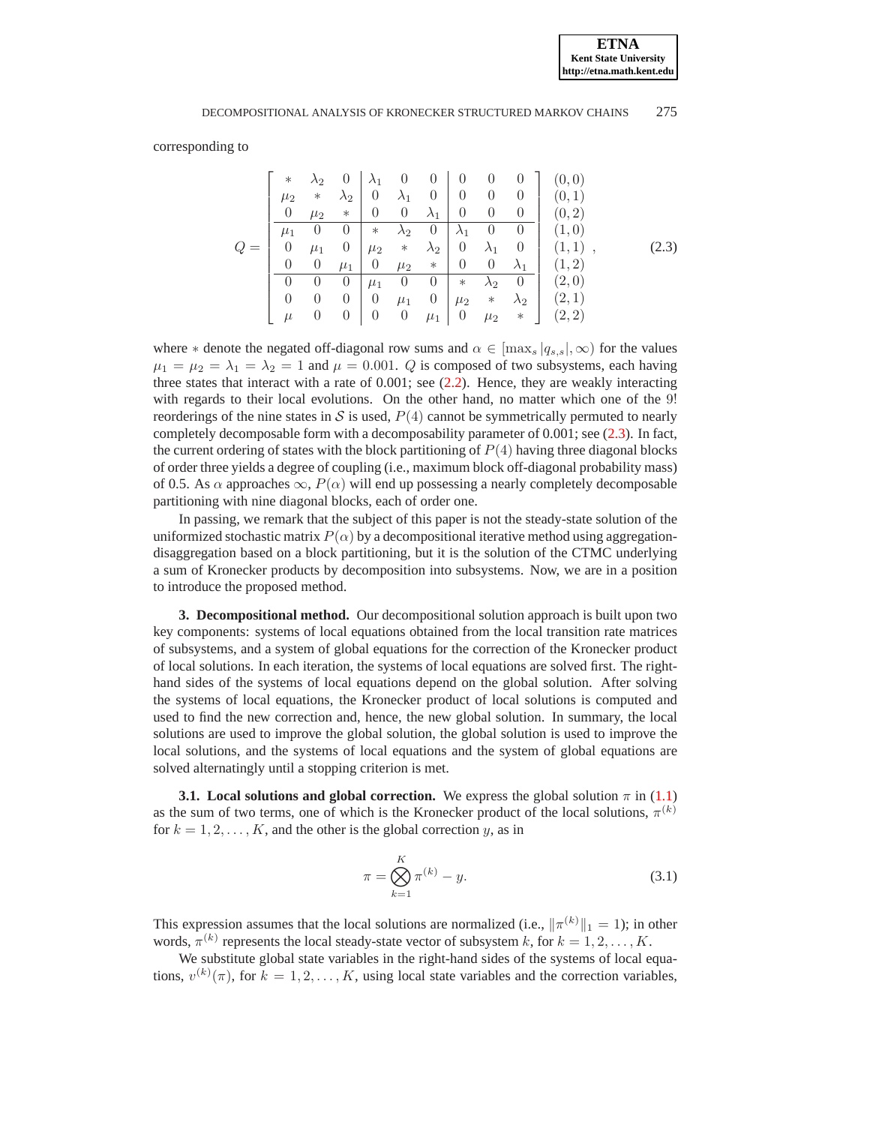<span id="page-4-1"></span>corresponding to

|       | $\ast$         | $\lambda_2$    | $\theta$    |                | $\begin{matrix}0\end{matrix}$ | $\overline{0}$ | $\overline{0}$   | $\overline{0}$    | $\cup$             | (0,0)     |       |
|-------|----------------|----------------|-------------|----------------|-------------------------------|----------------|------------------|-------------------|--------------------|-----------|-------|
|       | $\mu_2$        | $\ast$         | $\lambda_2$ | $\overline{0}$ | $\lambda_1$                   |                | $0 \mid 0$       | $\hspace{1.6cm}0$ | $\theta$           | (0,1)     |       |
|       | $\overline{0}$ | $\mu_2$        | $\ast$      | $\overline{0}$ | $\overline{0}$                | $\lambda_1$    | $\theta$         | $\overline{0}$    | $\overline{0}$     | (0, 2)    |       |
|       | $\mu_1$        | $\overline{0}$ | $\theta$    | $\ast$         | $\lambda_2$                   | $\overline{0}$ | $\lambda_1$      | $\theta$          | $\overline{0}$     | (1,0)     |       |
| $Q =$ | $\overline{0}$ | $\mu_1$        | $\theta$    | $\mu_2$        | $\ast$                        | $\lambda_2$    | $\overline{0}$   | $\lambda_1$       | $\hspace{0.1em} 0$ | $(1,1)$ , | (2.3) |
|       | $\theta$       | $\theta$       | $\mu_1$     | $\overline{0}$ | $\mu_2$                       | $*$            | $\theta$         | $\overline{0}$    | $\lambda_1$        | (1, 2)    |       |
|       | $\theta$       | $\theta$       | $\theta$    | $\mu_1$        | $\overline{0}$                | $\overline{0}$ | $\ast$           | $\lambda_2$       | $\overline{0}$     | (2,0)     |       |
|       | $\theta$       | $\theta$       | $\theta$    | $\overline{0}$ | $\mu_1$                       | $\overline{0}$ | $\mu_2$          | $\ast$            | $\lambda_2$        | (2,1)     |       |
|       | $\mu$          | $\theta$       | $\theta$    | $\theta$       | $\overline{0}$                | $\mu_1$        | $\boldsymbol{0}$ | $\mu_2$           | $\ast$             | (2, 2)    |       |

where  $*$  denote the negated off-diagonal row sums and  $\alpha \in [\max_s |q_{s,s}|, \infty)$  for the values  $\mu_1 = \mu_2 = \lambda_1 = \lambda_2 = 1$  and  $\mu = 0.001$ . Q is composed of two subsystems, each having three states that interact with a rate of  $0.001$ ; see  $(2.2)$ . Hence, they are weakly interacting with regards to their local evolutions. On the other hand, no matter which one of the 9! reorderings of the nine states in S is used,  $P(4)$  cannot be symmetrically permuted to nearly completely decomposable form with a decomposability parameter of 0.001; see [\(2.3\)](#page-4-1). In fact, the current ordering of states with the block partitioning of  $P(4)$  having three diagonal blocks of order three yields a degree of coupling (i.e., maximum block off-diagonal probability mass) of 0.5. As  $\alpha$  approaches  $\infty$ ,  $P(\alpha)$  will end up possessing a nearly completely decomposable partitioning with nine diagonal blocks, each of order one.

In passing, we remark that the subject of this paper is not the steady-state solution of the uniformized stochastic matrix  $P(\alpha)$  by a decompositional iterative method using aggregationdisaggregation based on a block partitioning, but it is the solution of the CTMC underlying a sum of Kronecker products by decomposition into subsystems. Now, we are in a position to introduce the proposed method.

<span id="page-4-0"></span>**3. Decompositional method.** Our decompositional solution approach is built upon two key components: systems of local equations obtained from the local transition rate matrices of subsystems, and a system of global equations for the correction of the Kronecker product of local solutions. In each iteration, the systems of local equations are solved first. The righthand sides of the systems of local equations depend on the global solution. After solving the systems of local equations, the Kronecker product of local solutions is computed and used to find the new correction and, hence, the new global solution. In summary, the local solutions are used to improve the global solution, the global solution is used to improve the local solutions, and the systems of local equations and the system of global equations are solved alternatingly until a stopping criterion is met.

**3.1. Local solutions and global correction.** We express the global solution  $\pi$  in [\(1.1\)](#page-0-0) as the sum of two terms, one of which is the Kronecker product of the local solutions,  $\pi^{(k)}$ for  $k = 1, 2, ..., K$ , and the other is the global correction y, as in

<span id="page-4-2"></span>
$$
\pi = \bigotimes_{k=1}^{K} \pi^{(k)} - y.
$$
\n(3.1)

This expression assumes that the local solutions are normalized (i.e.,  $\|\pi^{(k)}\|_1 = 1$ ); in other words,  $\pi^{(k)}$  represents the local steady-state vector of subsystem k, for  $k = 1, 2, ..., K$ .

We substitute global state variables in the right-hand sides of the systems of local equations,  $v^{(k)}(\pi)$ , for  $k = 1, 2, ..., K$ , using local state variables and the correction variables,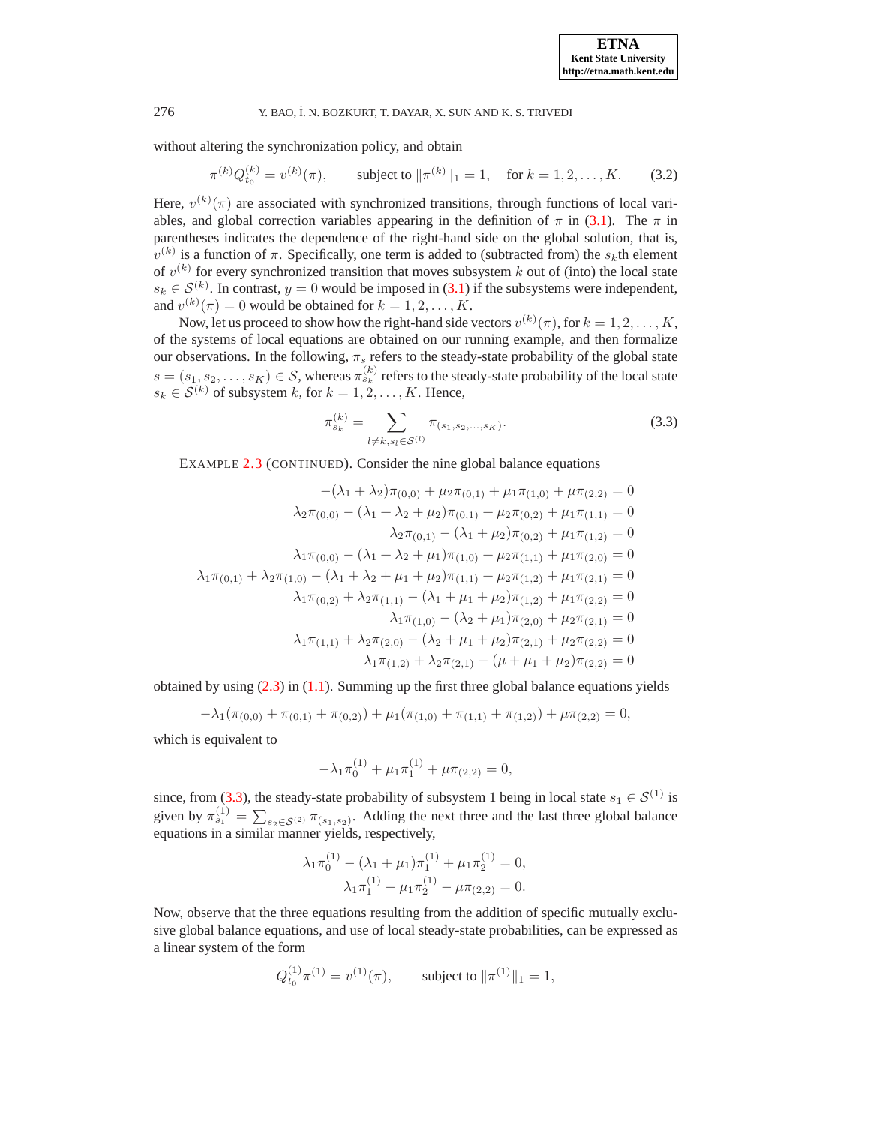<span id="page-5-1"></span>without altering the synchronization policy, and obtain

$$
\pi^{(k)}Q_{t_0}^{(k)} = v^{(k)}(\pi), \qquad \text{subject to } \|\pi^{(k)}\|_1 = 1, \quad \text{for } k = 1, 2, \dots, K. \tag{3.2}
$$

Here,  $v^{(k)}(\pi)$  are associated with synchronized transitions, through functions of local variables, and global correction variables appearing in the definition of  $\pi$  in [\(3.1\)](#page-4-2). The  $\pi$  in parentheses indicates the dependence of the right-hand side on the global solution, that is,  $v^{(k)}$  is a function of  $\pi$ . Specifically, one term is added to (subtracted from) the  $s_k$ th element of  $v^{(k)}$  for every synchronized transition that moves subsystem k out of (into) the local state  $s_k \in \mathcal{S}^{(k)}$ . In contrast,  $y = 0$  would be imposed in [\(3.1\)](#page-4-2) if the subsystems were independent, and  $v^{(k)}(\pi) = 0$  would be obtained for  $k = 1, 2, ..., K$ .

Now, let us proceed to show how the right-hand side vectors  $v^{(k)}(\pi)$ , for  $k = 1, 2, ..., K$ , of the systems of local equations are obtained on our running example, and then formalize our observations. In the following,  $\pi_s$  refers to the steady-state probability of the global state  $s = (s_1, s_2, \ldots, s_K) \in S$ , whereas  $\pi_{s_k}^{(k)}$  refers to the steady-state probability of the local state  $s_k \in \mathcal{S}^{(k)}$  of subsystem k, for  $k = 1, 2, \dots, K$ . Hence,

$$
\pi_{s_k}^{(k)} = \sum_{l \neq k, s_l \in \mathcal{S}^{(l)}} \pi_{(s_1, s_2, \dots, s_K)}.
$$
\n(3.3)

<span id="page-5-0"></span>EXAMPLE [2.3](#page-2-0) (CONTINUED). Consider the nine global balance equations

$$
-(\lambda_1 + \lambda_2)\pi_{(0,0)} + \mu_2\pi_{(0,1)} + \mu_1\pi_{(1,0)} + \mu\pi_{(2,2)} = 0
$$
  
\n
$$
\lambda_2\pi_{(0,0)} - (\lambda_1 + \lambda_2 + \mu_2)\pi_{(0,1)} + \mu_2\pi_{(0,2)} + \mu_1\pi_{(1,1)} = 0
$$
  
\n
$$
\lambda_2\pi_{(0,1)} - (\lambda_1 + \mu_2)\pi_{(0,2)} + \mu_1\pi_{(1,2)} = 0
$$
  
\n
$$
\lambda_1\pi_{(0,0)} - (\lambda_1 + \lambda_2 + \mu_1)\pi_{(1,0)} + \mu_2\pi_{(1,1)} + \mu_1\pi_{(2,0)} = 0
$$
  
\n
$$
\lambda_1\pi_{(0,1)} + \lambda_2\pi_{(1,0)} - (\lambda_1 + \lambda_2 + \mu_1 + \mu_2)\pi_{(1,1)} + \mu_2\pi_{(1,2)} + \mu_1\pi_{(2,1)} = 0
$$
  
\n
$$
\lambda_1\pi_{(0,2)} + \lambda_2\pi_{(1,1)} - (\lambda_1 + \mu_1 + \mu_2)\pi_{(1,2)} + \mu_1\pi_{(2,2)} = 0
$$
  
\n
$$
\lambda_1\pi_{(1,0)} - (\lambda_2 + \mu_1)\pi_{(2,0)} + \mu_2\pi_{(2,1)} = 0
$$
  
\n
$$
\lambda_1\pi_{(1,1)} + \lambda_2\pi_{(2,0)} - (\lambda_2 + \mu_1 + \mu_2)\pi_{(2,1)} + \mu_2\pi_{(2,2)} = 0
$$
  
\n
$$
\lambda_1\pi_{(1,2)} + \lambda_2\pi_{(2,1)} - (\mu + \mu_1 + \mu_2)\pi_{(2,2)} = 0
$$

obtained by using  $(2.3)$  in  $(1.1)$ . Summing up the first three global balance equations yields

$$
-\lambda_1(\pi_{(0,0)} + \pi_{(0,1)} + \pi_{(0,2)}) + \mu_1(\pi_{(1,0)} + \pi_{(1,1)} + \pi_{(1,2)}) + \mu \pi_{(2,2)} = 0,
$$

which is equivalent to

$$
-\lambda_1 \pi_0^{(1)} + \mu_1 \pi_1^{(1)} + \mu \pi_{(2,2)} = 0,
$$

since, from [\(3.3\)](#page-5-0), the steady-state probability of subsystem 1 being in local state  $s_1 \in S^{(1)}$  is given by  $\pi_{s_1}^{(1)} = \sum_{s_2 \in S^{(2)}} \pi_{(s_1, s_2)}$ . Adding the next three and the last three global balance equations in a similar manner yields, respectively,

$$
\lambda_1 \pi_0^{(1)} - (\lambda_1 + \mu_1) \pi_1^{(1)} + \mu_1 \pi_2^{(1)} = 0,
$$
  

$$
\lambda_1 \pi_1^{(1)} - \mu_1 \pi_2^{(1)} - \mu \pi_{(2,2)} = 0.
$$

Now, observe that the three equations resulting from the addition of specific mutually exclusive global balance equations, and use of local steady-state probabilities, can be expressed as a linear system of the form

$$
Q_{t_0}^{(1)} \pi^{(1)} = v^{(1)}(\pi)
$$
, subject to  $\|\pi^{(1)}\|_1 = 1$ ,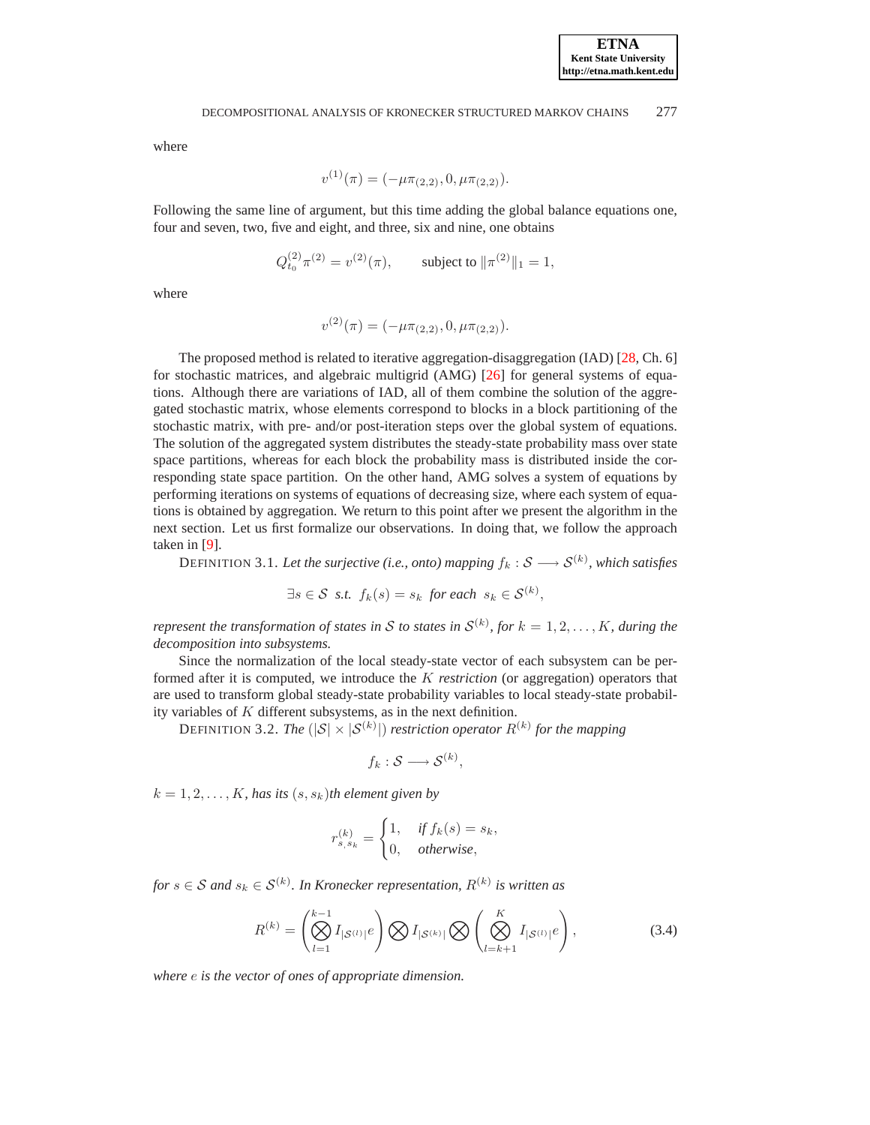where

$$
v^{(1)}(\pi) = (-\mu \pi_{(2,2)}, 0, \mu \pi_{(2,2)}).
$$

Following the same line of argument, but this time adding the global balance equations one, four and seven, two, five and eight, and three, six and nine, one obtains

$$
Q_{t_0}^{(2)} \pi^{(2)} = v^{(2)}(\pi)
$$
, subject to  $\|\pi^{(2)}\|_1 = 1$ ,

where

$$
v^{(2)}(\pi) = (-\mu \pi_{(2,2)}, 0, \mu \pi_{(2,2)}).
$$

The proposed method is related to iterative aggregation-disaggregation (IAD) [\[28,](#page-22-2) Ch. 6] for stochastic matrices, and algebraic multigrid (AMG) [\[26\]](#page-22-13) for general systems of equations. Although there are variations of IAD, all of them combine the solution of the aggregated stochastic matrix, whose elements correspond to blocks in a block partitioning of the stochastic matrix, with pre- and/or post-iteration steps over the global system of equations. The solution of the aggregated system distributes the steady-state probability mass over state space partitions, whereas for each block the probability mass is distributed inside the corresponding state space partition. On the other hand, AMG solves a system of equations by performing iterations on systems of equations of decreasing size, where each system of equations is obtained by aggregation. We return to this point after we present the algorithm in the next section. Let us first formalize our observations. In doing that, we follow the approach taken in [\[9\]](#page-22-11).

DEFINITION 3.1. Let the surjective (i.e., onto) mapping  $f_k: \mathcal{S} \longrightarrow \mathcal{S}^{(k)}$ , which satisfies

$$
\exists s \in \mathcal{S} \ \text{ s.t. } f_k(s) = s_k \ \text{for each } s_k \in \mathcal{S}^{(k)},
$$

*represent the transformation of states in*  $S$  *to states in*  $S^{(k)}$ *, for*  $k = 1, 2, \ldots, K$ *, during the decomposition into subsystems.*

Since the normalization of the local steady-state vector of each subsystem can be performed after it is computed, we introduce the K *restriction* (or aggregation) operators that are used to transform global steady-state probability variables to local steady-state probability variables of K different subsystems, as in the next definition.

DEFINITION 3.2. The  $(|S| \times |S^{(k)}|)$  restriction operator  $R^{(k)}$  for the mapping

$$
f_k: \mathcal{S} \longrightarrow \mathcal{S}^{(k)},
$$

 $k = 1, 2, \ldots, K$ *, has its*  $(s, s_k)$ *th element given by* 

$$
r_{s,s_k}^{(k)} = \begin{cases} 1, & \text{if } f_k(s) = s_k, \\ 0, & \text{otherwise,} \end{cases}
$$

<span id="page-6-0"></span> $for s \in \mathcal{S}$  and  $s_k \in \mathcal{S}^{(k)}$ . In Kronecker representation,  $R^{(k)}$  is written as

$$
R^{(k)} = \left(\bigotimes_{l=1}^{k-1} I_{|\mathcal{S}^{(l)}|} e\right) \bigotimes I_{|\mathcal{S}^{(k)}|} \bigotimes \left(\bigotimes_{l=k+1}^{K} I_{|\mathcal{S}^{(l)}|} e\right),\tag{3.4}
$$

*where* e *is the vector of ones of appropriate dimension.*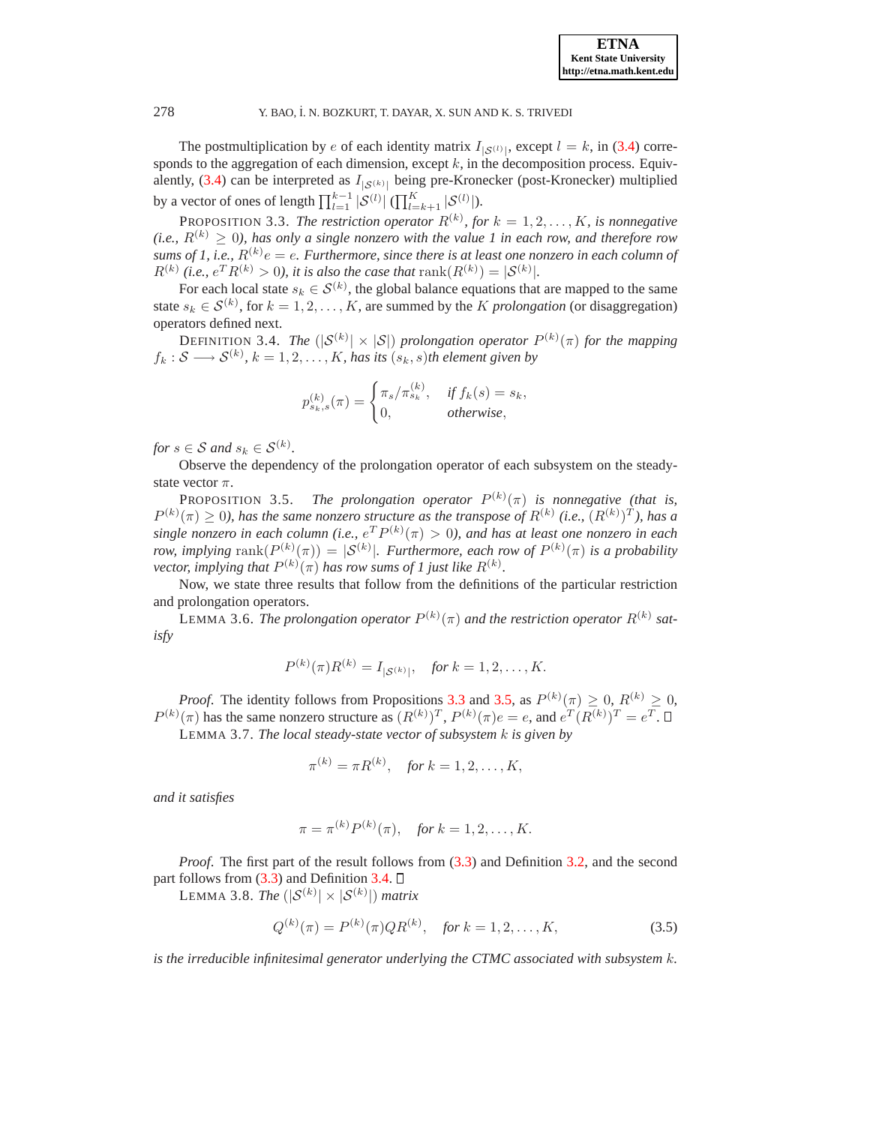The postmultiplication by e of each identity matrix  $I_{|S^{(l)}|}$ , except  $l = k$ , in [\(3.4\)](#page-6-0) corresponds to the aggregation of each dimension, except  $k$ , in the decomposition process. Equiv-alently, [\(3.4\)](#page-6-0) can be interpreted as  $I_{|S^{(k)}|}$  being pre-Kronecker (post-Kronecker) multiplied by a vector of ones of length  $\prod_{l=1}^{k-1} |\mathcal{S}^{(l)}|$  ( $\prod_{l=k+1}^{K} |\mathcal{S}^{(l)}|$ ).

<span id="page-7-0"></span>PROPOSITION 3.3. The restriction operator  $R^{(k)}$ , for  $k = 1, 2, ..., K$ , is nonnegative *(i.e.,*  $R^{(k)} \geq 0$ *), has only a single nonzero with the value 1 in each row, and therefore row* sums of 1, i.e.,  $R^{(k)}e = e$ . Furthermore, since there is at least one nonzero in each column of  $R^{(k)}$  (*i.e.,*  $e^T R^{(k)} > 0$ *), it is also the case that*  $\text{rank}(R^{(k)}) = |S^{(k)}|$ *.* 

For each local state  $s_k \in \mathcal{S}^{(k)}$ , the global balance equations that are mapped to the same state  $s_k \in \mathcal{S}^{(k)}$ , for  $k = 1, 2, ..., K$ , are summed by the *K prolongation* (or disaggregation) operators defined next.

<span id="page-7-2"></span>DEFINITION 3.4. *The*  $(|S^{(k)}| \times |S|)$  prolongation operator  $P^{(k)}(\pi)$  for the mapping  $f_k: \mathcal{S} \longrightarrow \mathcal{S}^{(k)}, k = 1, 2, \ldots, K$ , has its  $(s_k, s)$ th element given by

$$
p_{s_k,s}^{(k)}(\pi) = \begin{cases} \pi_s/\pi_{s_k}^{(k)}, & \text{if } f_k(s) = s_k, \\ 0, & \text{otherwise,} \end{cases}
$$

*for*  $s \in S$  *and*  $s_k \in S^{(k)}$ *.* 

<span id="page-7-1"></span>Observe the dependency of the prolongation operator of each subsystem on the steadystate vector  $\pi$ .

PROPOSITION 3.5. *The prolongation operator*  $P^{(k)}(\pi)$  *is nonnegative (that is,*  $P^{(k)}(\pi) \ge 0$ ), has the same nonzero structure as the transpose of  $R^{(k)}$  (i.e.,  $(R^{(k)})^T$ ), has a single nonzero in each column (i.e.,  $e^T P^{(k)}(\pi) > 0$ ), and has at least one nonzero in each *row, implying*  $\text{rank}(P^{(k)}(\pi)) = |\mathcal{S}^{(k)}|$ *. Furthermore, each row of*  $P^{(k)}(\pi)$  *is a probability vector, implying that*  $P^{(k)}(\pi)$  *has row sums of 1 just like*  $R^{(k)}$ *.* 

Now, we state three results that follow from the definitions of the particular restriction and prolongation operators.

LEMMA 3.6. The prolongation operator  $P^{(k)}(\pi)$  and the restriction operator  $R^{(k)}$  sat*isfy*

$$
P^{(k)}(\pi)R^{(k)} = I_{|S^{(k)}|}, \quad \text{for } k = 1, 2, \dots, K.
$$

<span id="page-7-4"></span>*Proof.* The identity follows from Propositions [3.3](#page-7-0) and [3.5,](#page-7-1) as  $P^{(k)}(\pi) \ge 0$ ,  $R^{(k)} \ge 0$ ,  $P^{(k)}(\pi)$  has the same nonzero structure as  $(R^{(k)})^T$ ,  $P^{(k)}(\pi)e = e$ , and  $e^T(R^{(k)})^T = e^T$ .

LEMMA 3.7. *The local steady-state vector of subsystem* k *is given by*

$$
\pi^{(k)} = \pi R^{(k)}, \quad \text{for } k = 1, 2, \dots, K,
$$

*and it satisfies*

$$
\pi = \pi^{(k)} P^{(k)}(\pi), \text{ for } k = 1, 2, ..., K.
$$

*Proof*. The first part of the result follows from [\(3.3\)](#page-5-0) and Definition [3.2,](#page-6-0) and the second part follows from  $(3.3)$  and Definition [3.4.](#page-7-2)  $\Box$ 

<span id="page-7-3"></span>LEMMA 3.8. *The*  $(|\mathcal{S}^{(k)}| \times |\mathcal{S}^{(k)}|)$  matrix

$$
Q^{(k)}(\pi) = P^{(k)}(\pi)QR^{(k)}, \quad \text{for } k = 1, 2, \dots, K,
$$
\n(3.5)

*is the irreducible infinitesimal generator underlying the CTMC associated with subsystem* k*.*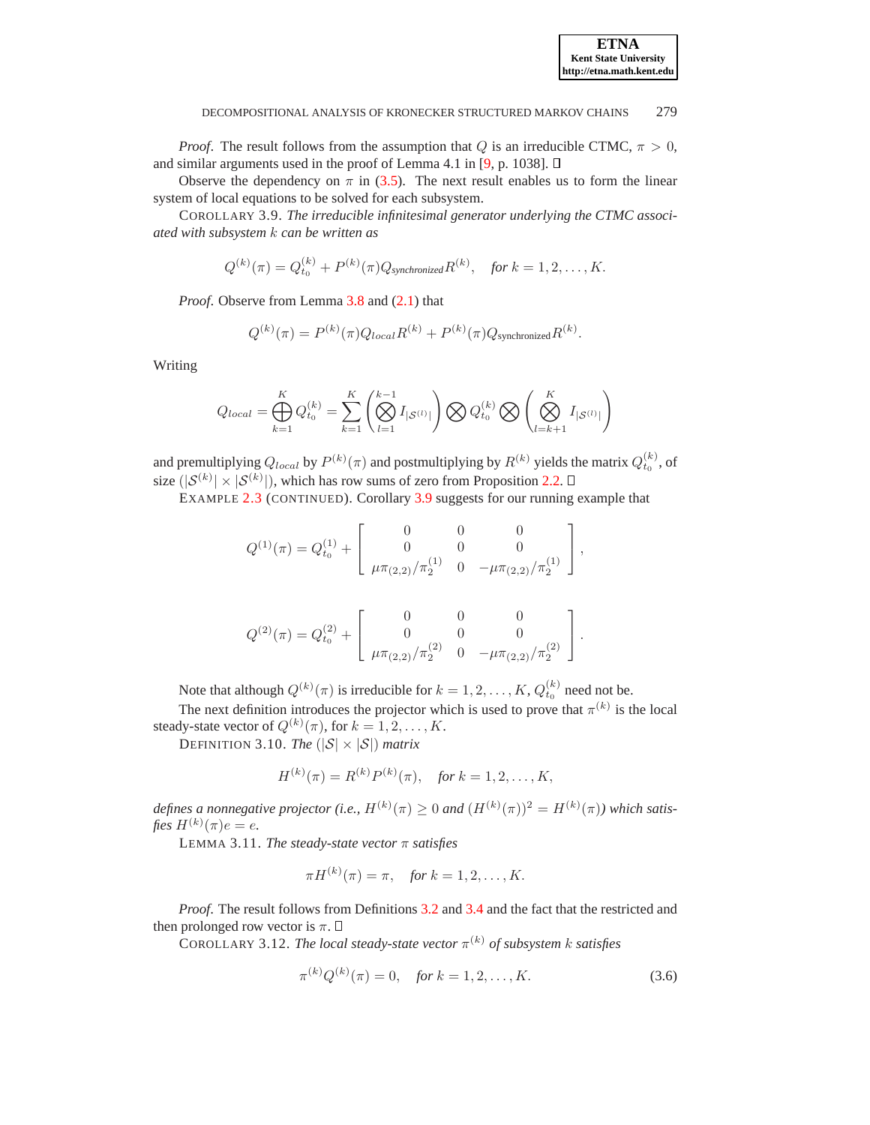

*Proof.* The result follows from the assumption that Q is an irreducible CTMC,  $\pi > 0$ , and similar arguments used in the proof of Lemma 4.1 in [\[9,](#page-22-11) p. 1038].  $\square$ 

Observe the dependency on  $\pi$  in [\(3.5\)](#page-7-3). The next result enables us to form the linear system of local equations to be solved for each subsystem.

COROLLARY 3.9. *The irreducible infinitesimal generator underlying the CTMC associated with subsystem* k *can be written as*

<span id="page-8-0"></span>
$$
Q^{(k)}(\pi) = Q_{t_0}^{(k)} + P^{(k)}(\pi)Q_{\text{synchronized}}R^{(k)}, \text{ for } k = 1, 2, ..., K.
$$

*Proof.* Observe from Lemma [3.8](#page-7-3) and  $(2.1)$  that

$$
Q^{(k)}(\pi) = P^{(k)}(\pi)Q_{local}R^{(k)} + P^{(k)}(\pi)Q_{\text{synchronized}}R^{(k)}.
$$

Writing

$$
Q_{local} = \bigoplus_{k=1}^{K} Q_{t_0}^{(k)} = \sum_{k=1}^{K} \left( \bigotimes_{l=1}^{k-1} I_{|\mathcal{S}^{(l)}|} \right) \bigotimes Q_{t_0}^{(k)} \bigotimes \left( \bigotimes_{l=k+1}^{K} I_{|\mathcal{S}^{(l)}|} \right)
$$

and premultiplying  $Q_{local}$  by  $P^{(k)}(\pi)$  and postmultiplying by  $R^{(k)}$  yields the matrix  $Q_{t_0}^{(k)}$ , of size  $(|\mathcal{S}^{(k)}| \times |\mathcal{S}^{(k)}|)$ , which has row sums of zero from Proposition [2.2.](#page-2-2)

EXAMPLE [2.3](#page-2-0) (CONTINUED). Corollary [3.9](#page-8-0) suggests for our running example that

$$
Q^{(1)}(\pi) = Q_{t_0}^{(1)} + \begin{bmatrix} 0 & 0 & 0 \\ 0 & 0 & 0 \\ \mu \pi_{(2,2)}/\pi_2^{(1)} & 0 & -\mu \pi_{(2,2)}/\pi_2^{(1)} \end{bmatrix},
$$

$$
Q^{(2)}(\pi) = Q_{t_0}^{(2)} + \begin{bmatrix} 0 & 0 & 0 \\ 0 & 0 & 0 \\ \mu \pi_{(2,2)}/\pi_2^{(2)} & 0 & -\mu \pi_{(2,2)}/\pi_2^{(2)} \end{bmatrix}.
$$

Note that although  $Q^{(k)}(\pi)$  is irreducible for  $k = 1, 2, ..., K$ ,  $Q_{t_0}^{(k)}$  need not be.

The next definition introduces the projector which is used to prove that  $\pi^{(k)}$  is the local steady-state vector of  $Q^{(k)}(\pi)$ , for  $k = 1, 2, ..., K$ .

DEFINITION 3.10. *The*  $(|S| \times |S|)$  *matrix* 

<span id="page-8-1"></span>
$$
H^{(k)}(\pi) = R^{(k)}P^{(k)}(\pi), \quad \text{for } k = 1, 2, \dots, K,
$$

<span id="page-8-2"></span>defines a nonnegative projector (i.e.,  $H^{(k)}(\pi) \geq 0$  and  $(H^{(k)}(\pi))^2 = H^{(k)}(\pi)$ ) which satis $fies\ H^{(k)}(\pi)e=e.$ 

LEMMA 3.11. *The steady-state vector* π *satisfies*

$$
\pi H^{(k)}(\pi) = \pi
$$
, for  $k = 1, 2, ..., K$ .

*Proof*. The result follows from Definitions [3.2](#page-6-0) and [3.4](#page-7-2) and the fact that the restricted and then prolonged row vector is  $\pi$ .  $\Box$ 

<span id="page-8-3"></span>COROLLARY 3.12. *The local steady-state vector*  $\pi^{(k)}$  *of subsystem k satisfies* 

$$
\pi^{(k)}Q^{(k)}(\pi) = 0, \quad \text{for } k = 1, 2, \dots, K. \tag{3.6}
$$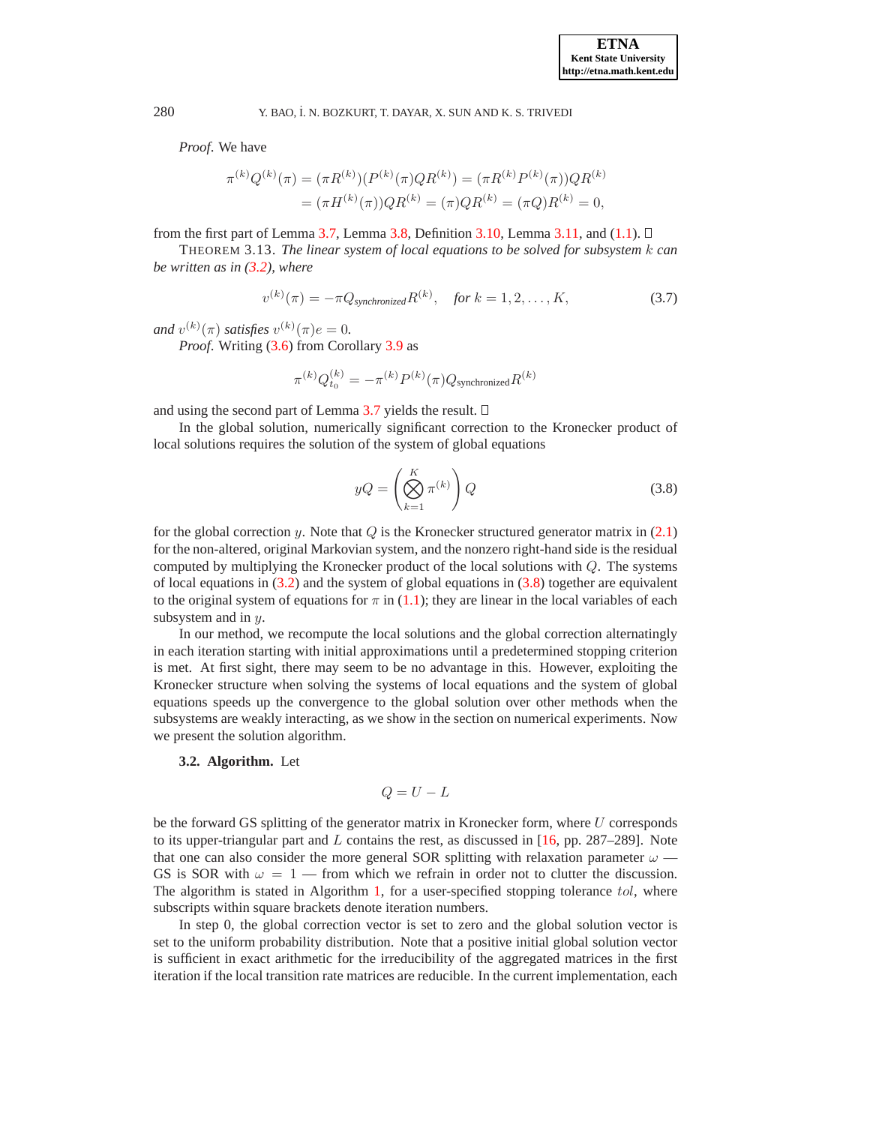*Proof*. We have

$$
\pi^{(k)}Q^{(k)}(\pi) = (\pi R^{(k)})(P^{(k)}(\pi)QR^{(k)}) = (\pi R^{(k)}P^{(k)}(\pi))QR^{(k)}
$$

$$
= (\pi H^{(k)}(\pi))QR^{(k)} = (\pi)QR^{(k)} = (\pi)QR^{(k)} = 0,
$$

from the first part of Lemma [3.7,](#page-7-4) Lemma [3.8,](#page-7-3) Definition [3.10,](#page-8-1) Lemma [3.11,](#page-8-2) and  $(1.1)$ .  $\Box$ 

THEOREM 3.13. *The linear system of local equations to be solved for subsystem* k *can be written as in [\(3.2\)](#page-5-1), where*

$$
v^{(k)}(\pi) = -\pi Q_{synchronized} R^{(k)}, \quad \text{for } k = 1, 2, ..., K,
$$
 (3.7)

<span id="page-9-1"></span>*and*  $v^{(k)}(\pi)$  *satisfies*  $v^{(k)}(\pi) e = 0$ .

*Proof.* Writing [\(3.6\)](#page-8-3) from Corollary [3.9](#page-8-0) as

$$
\pi^{(k)}Q_{t_0}^{(k)} = -\pi^{(k)}P^{(k)}(\pi)Q_{\rm synchronized}R^{(k)}
$$

and using the second part of Lemma [3.7](#page-7-4) yields the result.  $\square$ 

In the global solution, numerically significant correction to the Kronecker product of local solutions requires the solution of the system of global equations

<span id="page-9-0"></span>
$$
yQ = \left(\bigotimes_{k=1}^{K} \pi^{(k)}\right)Q\tag{3.8}
$$

for the global correction y. Note that  $Q$  is the Kronecker structured generator matrix in [\(2.1\)](#page-2-1) for the non-altered, original Markovian system, and the nonzero right-hand side is the residual computed by multiplying the Kronecker product of the local solutions with Q. The systems of local equations in  $(3.2)$  and the system of global equations in  $(3.8)$  together are equivalent to the original system of equations for  $\pi$  in [\(1.1\)](#page-0-0); they are linear in the local variables of each subsystem and in  $y$ .

In our method, we recompute the local solutions and the global correction alternatingly in each iteration starting with initial approximations until a predetermined stopping criterion is met. At first sight, there may seem to be no advantage in this. However, exploiting the Kronecker structure when solving the systems of local equations and the system of global equations speeds up the convergence to the global solution over other methods when the subsystems are weakly interacting, as we show in the section on numerical experiments. Now we present the solution algorithm.

## **3.2. Algorithm.** Let

$$
Q = U - L
$$

be the forward GS splitting of the generator matrix in Kronecker form, where U corresponds to its upper-triangular part and  $L$  contains the rest, as discussed in [\[16,](#page-22-12) pp. 287–289]. Note that one can also consider the more general SOR splitting with relaxation parameter  $\omega$  — GS is SOR with  $\omega = 1$  — from which we refrain in order not to clutter the discussion. The algorithm is stated in Algorithm [1,](#page-10-0) for a user-specified stopping tolerance tol, where subscripts within square brackets denote iteration numbers.

In step 0, the global correction vector is set to zero and the global solution vector is set to the uniform probability distribution. Note that a positive initial global solution vector is sufficient in exact arithmetic for the irreducibility of the aggregated matrices in the first iteration if the local transition rate matrices are reducible. In the current implementation, each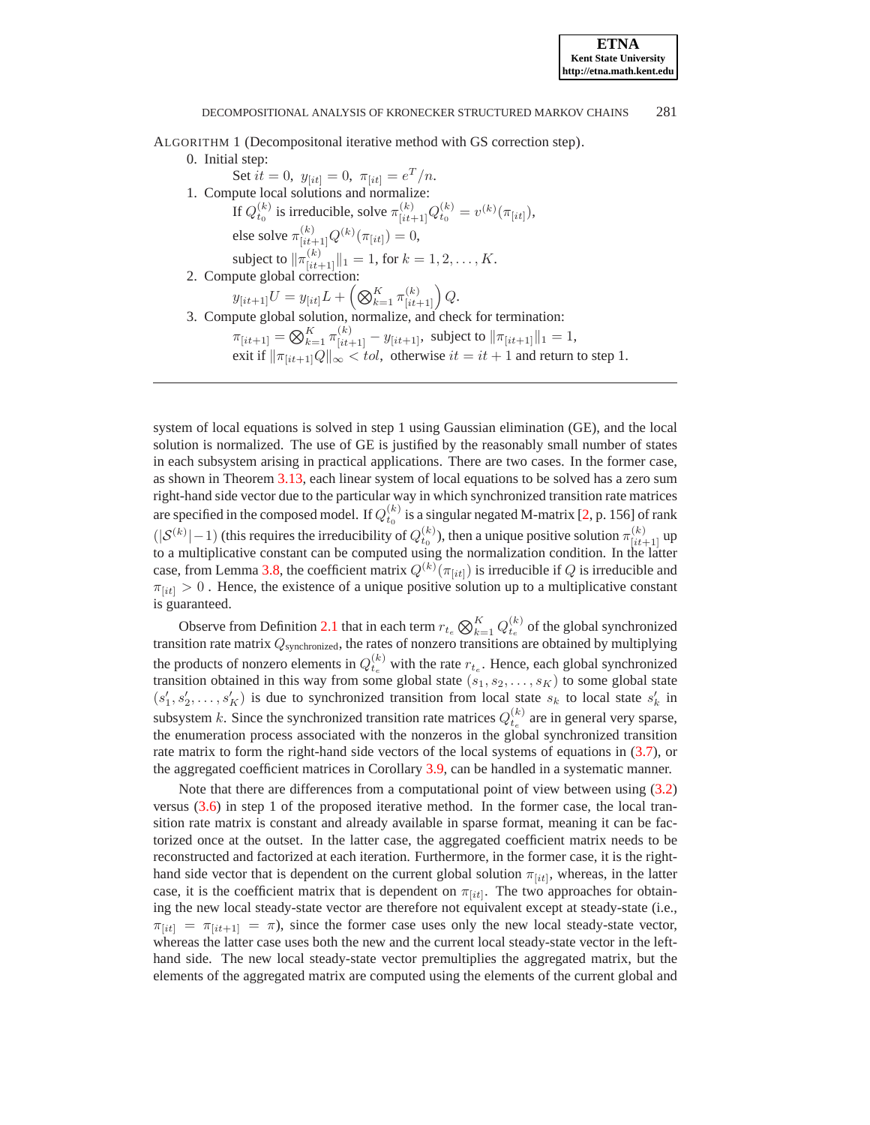<span id="page-10-0"></span>ALGORITHM 1 (Decompositonal iterative method with GS correction step).

0. Initial step:

Set  $it = 0$ ,  $y_{[it]} = 0$ ,  $\pi_{[it]} = e^T/n$ . 1. Compute local solutions and normalize: If  $Q_{t_0}^{(k)}$  is irreducible, solve  $\pi_{[it+1]}^{(k)} Q_{t_0}^{(k)} = v^{(k)}(\pi_{[it]}),$ else solve  $\pi^{(k)}_{[it+1]}Q^{(k)}(\pi_{[it]})=0,$ subject to  $\|\pi_{[it+1]}^{(k)}\|_1 = 1$ , for  $k = 1, 2, ..., K$ . 2. Compute global correction:  $y_{[it+1]}U = y_{[it]}L + \left(\bigotimes_{k=1}^K \pi^{(k)}_{[it+1]}\right)Q.$ 3. Compute global solution, normalize, and check for termination:  $\pi_{[it+1]} = \bigotimes_{k=1}^K \pi_{[it+1]}^{(k)} - y_{[it+1]}$ , subject to  $\|\pi_{[it+1]}\|_1 = 1$ , exit if  $\|\pi_{[it+1]}Q\|_{\infty} < tol$ , otherwise  $it = it + 1$  and return to step 1.

system of local equations is solved in step 1 using Gaussian elimination (GE), and the local solution is normalized. The use of GE is justified by the reasonably small number of states in each subsystem arising in practical applications. There are two cases. In the former case, as shown in Theorem [3.13,](#page-9-1) each linear system of local equations to be solved has a zero sum right-hand side vector due to the particular way in which synchronized transition rate matrices are specified in the composed model. If  $Q_{t_0}^{(k)}$  is a singular negated M-matrix [\[2,](#page-22-19) p. 156] of rank  $(|\mathcal{S}^{(k)}|-1)$  (this requires the irreducibility of  $Q_{t_0}^{(k)}$ ), then a unique positive solution  $\pi_{[it+1]}^{(k)}$  up to a multiplicative constant can be computed using the normalization condition. In the latter case, from Lemma [3.8,](#page-7-3) the coefficient matrix  $Q^{(k)}(\pi_{[it]})$  is irreducible if  $Q$  is irreducible and  $\pi_{[it]} > 0$ . Hence, the existence of a unique positive solution up to a multiplicative constant is guaranteed.

Observe from Definition [2.1](#page-2-1) that in each term  $r_{t_e} \bigotimes_{k=1}^K Q_{t_e}^{(k)}$  of the global synchronized transition rate matrix  $Q_{synchronized}$ , the rates of nonzero transitions are obtained by multiplying the products of nonzero elements in  $Q_{t_e}^{(k)}$  with the rate  $r_{t_e}$ . Hence, each global synchronized transition obtained in this way from some global state  $(s_1, s_2, \ldots, s_K)$  to some global state  $(s'_1, s'_2, \ldots, s'_K)$  is due to synchronized transition from local state  $s_k$  to local state  $s'_k$  in subsystem k. Since the synchronized transition rate matrices  $Q_{t_e}^{(k)}$  are in general very sparse, the enumeration process associated with the nonzeros in the global synchronized transition rate matrix to form the right-hand side vectors of the local systems of equations in [\(3.7\)](#page-9-1), or the aggregated coefficient matrices in Corollary [3.9,](#page-8-0) can be handled in a systematic manner.

Note that there are differences from a computational point of view between using [\(3.2\)](#page-5-1) versus [\(3.6\)](#page-8-3) in step 1 of the proposed iterative method. In the former case, the local transition rate matrix is constant and already available in sparse format, meaning it can be factorized once at the outset. In the latter case, the aggregated coefficient matrix needs to be reconstructed and factorized at each iteration. Furthermore, in the former case, it is the righthand side vector that is dependent on the current global solution  $\pi_{[it]}$ , whereas, in the latter case, it is the coefficient matrix that is dependent on  $\pi_{[it]}$ . The two approaches for obtaining the new local steady-state vector are therefore not equivalent except at steady-state (i.e.,  $\pi_{[it]} = \pi_{[it+1]} = \pi$ , since the former case uses only the new local steady-state vector, whereas the latter case uses both the new and the current local steady-state vector in the lefthand side. The new local steady-state vector premultiplies the aggregated matrix, but the elements of the aggregated matrix are computed using the elements of the current global and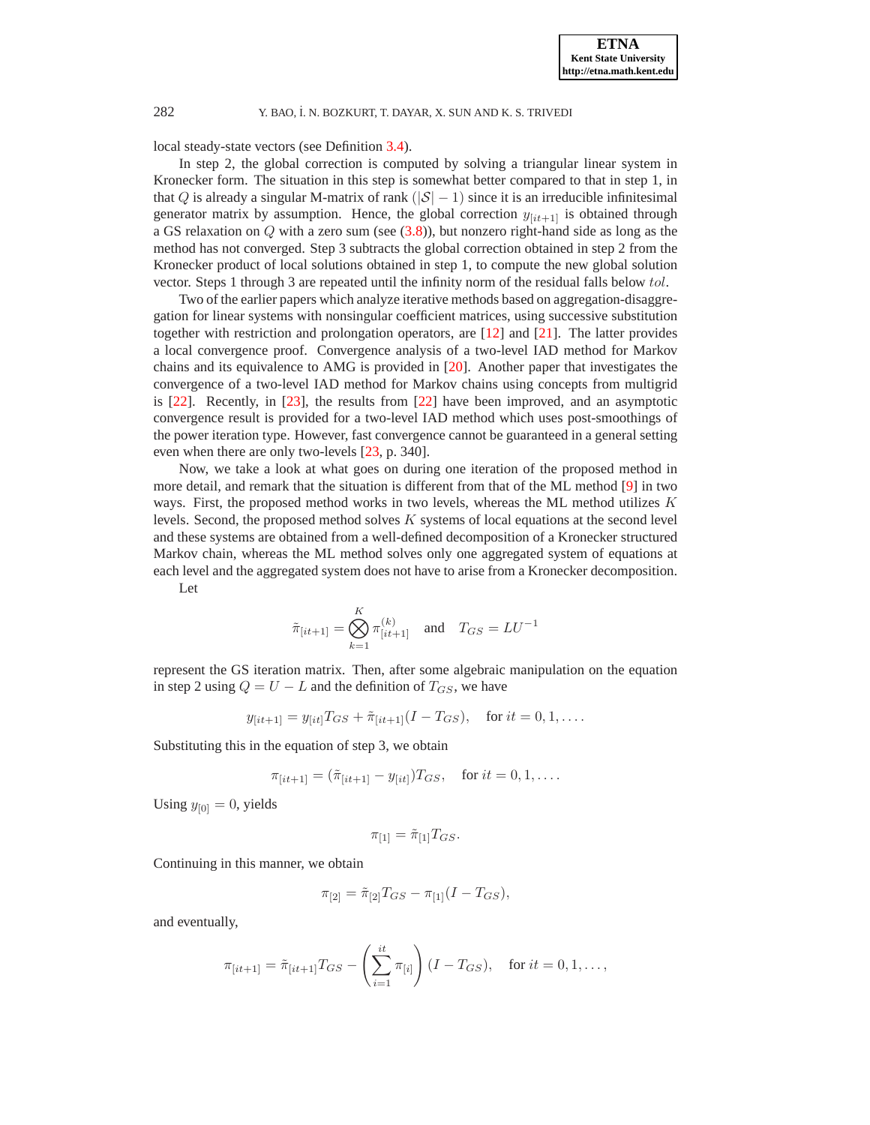local steady-state vectors (see Definition [3.4\)](#page-7-2).

In step 2, the global correction is computed by solving a triangular linear system in Kronecker form. The situation in this step is somewhat better compared to that in step 1, in that Q is already a singular M-matrix of rank  $(|S|-1)$  since it is an irreducible infinitesimal generator matrix by assumption. Hence, the global correction  $y_{[it+1]}$  is obtained through a GS relaxation on Q with a zero sum (see [\(3.8\)](#page-9-0)), but nonzero right-hand side as long as the method has not converged. Step 3 subtracts the global correction obtained in step 2 from the Kronecker product of local solutions obtained in step 1, to compute the new global solution vector. Steps 1 through 3 are repeated until the infinity norm of the residual falls below tol.

Two of the earlier papers which analyze iterative methods based on aggregation-disaggregation for linear systems with nonsingular coefficient matrices, using successive substitution together with restriction and prolongation operators, are [\[12\]](#page-22-20) and [\[21\]](#page-22-21). The latter provides a local convergence proof. Convergence analysis of a two-level IAD method for Markov chains and its equivalence to AMG is provided in [\[20\]](#page-22-22). Another paper that investigates the convergence of a two-level IAD method for Markov chains using concepts from multigrid is [\[22\]](#page-22-23). Recently, in [\[23\]](#page-22-24), the results from [\[22\]](#page-22-23) have been improved, and an asymptotic convergence result is provided for a two-level IAD method which uses post-smoothings of the power iteration type. However, fast convergence cannot be guaranteed in a general setting even when there are only two-levels [\[23,](#page-22-24) p. 340].

Now, we take a look at what goes on during one iteration of the proposed method in more detail, and remark that the situation is different from that of the ML method [\[9\]](#page-22-11) in two ways. First, the proposed method works in two levels, whereas the ML method utilizes  $K$ levels. Second, the proposed method solves K systems of local equations at the second level and these systems are obtained from a well-defined decomposition of a Kronecker structured Markov chain, whereas the ML method solves only one aggregated system of equations at each level and the aggregated system does not have to arise from a Kronecker decomposition.

Let

$$
\tilde{\pi}_{[it+1]} = \bigotimes_{k=1}^{K} \pi_{[it+1]}^{(k)}
$$
 and  $T_{GS} = LU^{-1}$ 

represent the GS iteration matrix. Then, after some algebraic manipulation on the equation in step 2 using  $Q = U - L$  and the definition of  $T_{GS}$ , we have

$$
y_{[it+1]} = y_{[it]}T_{GS} + \tilde{\pi}_{[it+1]}(I - T_{GS}),
$$
 for  $it = 0, 1, ...$ 

Substituting this in the equation of step 3, we obtain

$$
\pi_{[it+1]} = (\tilde{\pi}_{[it+1]} - y_{[it]})T_{GS}, \text{ for } it = 0, 1, \dots.
$$

Using  $y_{[0]} = 0$ , yields

$$
\pi_{[1]} = \tilde{\pi}_{[1]} T_{GS}.
$$

Continuing in this manner, we obtain

$$
\pi_{[2]} = \tilde{\pi}_{[2]} T_{GS} - \pi_{[1]} (I - T_{GS}),
$$

and eventually,

$$
\pi_{[it+1]} = \tilde{\pi}_{[it+1]} T_{GS} - \left(\sum_{i=1}^{it} \pi_{[i]}\right) (I - T_{GS}), \text{ for } it = 0, 1, \dots,
$$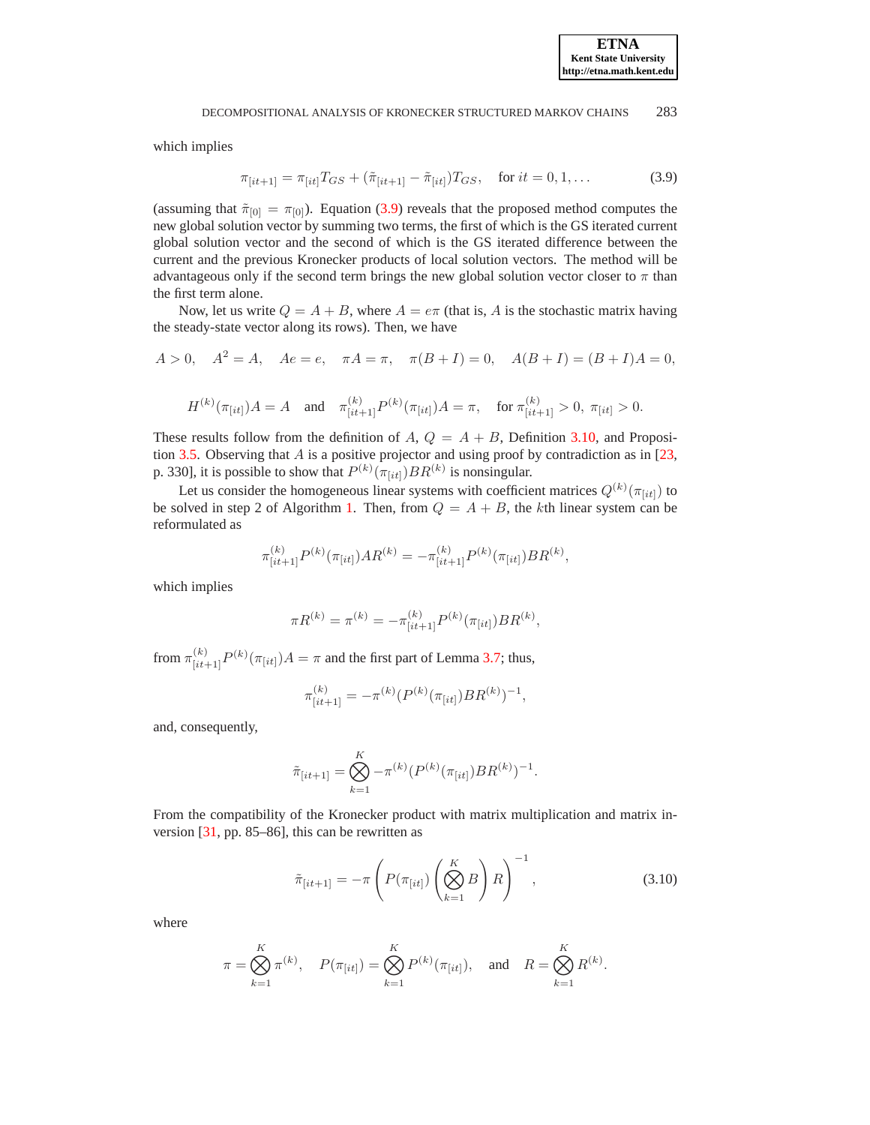<span id="page-12-0"></span>which implies

$$
\pi_{[it+1]} = \pi_{[it]} T_{GS} + (\tilde{\pi}_{[it+1]} - \tilde{\pi}_{[it]}) T_{GS}, \quad \text{for } it = 0, 1, \dots \tag{3.9}
$$

(assuming that  $\tilde{\pi}_{[0]} = \pi_{[0]}$ ). Equation [\(3.9\)](#page-12-0) reveals that the proposed method computes the new global solution vector by summing two terms, the first of which is the GS iterated current global solution vector and the second of which is the GS iterated difference between the current and the previous Kronecker products of local solution vectors. The method will be advantageous only if the second term brings the new global solution vector closer to  $\pi$  than the first term alone.

Now, let us write  $Q = A + B$ , where  $A = e\pi$  (that is, A is the stochastic matrix having the steady-state vector along its rows). Then, we have

$$
A > 0
$$
,  $A^2 = A$ ,  $Ae = e$ ,  $\pi A = \pi$ ,  $\pi(B + I) = 0$ ,  $A(B + I) = (B + I)A = 0$ ,

$$
H^{(k)}(\pi_{[it]})A = A \quad \text{and} \quad \pi_{[it+1]}^{(k)}P^{(k)}(\pi_{[it]})A = \pi, \quad \text{for } \pi_{[it+1]}^{(k)} > 0, \ \pi_{[it]} > 0.
$$

These results follow from the definition of A,  $Q = A + B$ , Definition [3.10,](#page-8-1) and Proposi-tion [3.5.](#page-7-1) Observing that  $A$  is a positive projector and using proof by contradiction as in [\[23,](#page-22-24) p. 330], it is possible to show that  $P^{(k)}(\pi_{[it]})BR^{(k)}$  is nonsingular.

Let us consider the homogeneous linear systems with coefficient matrices  $Q^{(k)}(\pi_{[it]})$  to be solved in step 2 of Algorithm [1.](#page-10-0) Then, from  $Q = A + B$ , the kth linear system can be reformulated as

$$
\pi_{[it+1]}^{(k)} P^{(k)}(\pi_{[it]}) AR^{(k)} = -\pi_{[it+1]}^{(k)} P^{(k)}(\pi_{[it]}) BR^{(k)},
$$

which implies

$$
\pi R^{(k)} = \pi^{(k)} = -\pi^{(k)}_{[it+1]} P^{(k)}(\pi_{[it]}) BR^{(k)},
$$

from  $\pi^{(k)}_{[it+1]}P^{(k)}(\pi_{[it]})A = \pi$  and the first part of Lemma [3.7;](#page-7-4) thus,

$$
\pi_{[it+1]}^{(k)} = -\pi^{(k)} (P^{(k)}(\pi_{[it]}) BR^{(k)})^{-1}
$$

and, consequently,

$$
\tilde{\pi}_{[it+1]} = \bigotimes_{k=1}^{K} -\pi^{(k)}(P^{(k)}(\pi_{[it]})BR^{(k)})^{-1}.
$$

From the compatibility of the Kronecker product with matrix multiplication and matrix inversion [\[31,](#page-23-0) pp. 85–86], this can be rewritten as

$$
\tilde{\pi}_{[it+1]} = -\pi \left( P(\pi_{[it]}) \left( \bigotimes_{k=1}^{K} B \right) R \right)^{-1}, \qquad (3.10)
$$

,

<span id="page-12-1"></span>where

$$
\pi = \bigotimes_{k=1}^{K} \pi^{(k)}, \quad P(\pi_{[it]}) = \bigotimes_{k=1}^{K} P^{(k)}(\pi_{[it]}), \quad \text{and} \quad R = \bigotimes_{k=1}^{K} R^{(k)}.
$$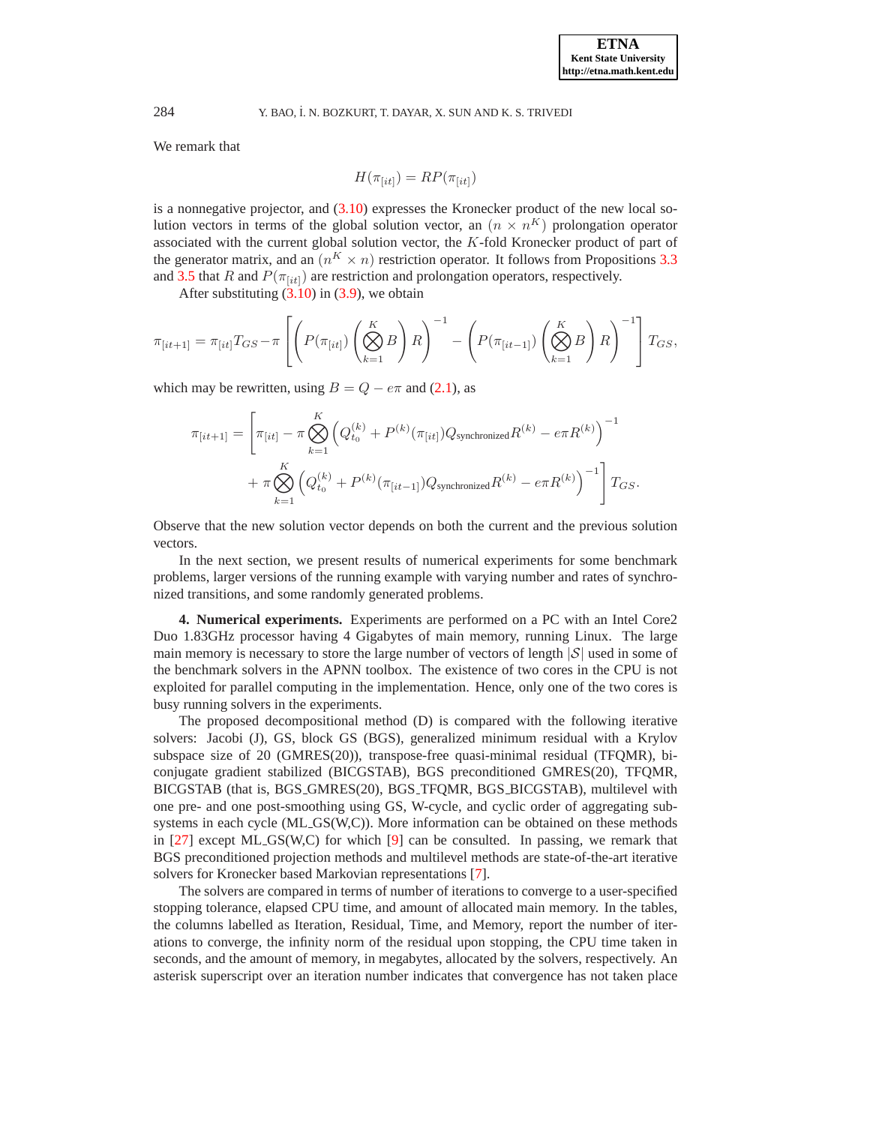We remark that

$$
H(\pi_{[it]}) = RP(\pi_{[it]})
$$

is a nonnegative projector, and [\(3.10\)](#page-12-1) expresses the Kronecker product of the new local solution vectors in terms of the global solution vector, an  $(n \times n^K)$  prolongation operator associated with the current global solution vector, the K-fold Kronecker product of part of the generator matrix, and an  $(n^K \times n)$  restriction operator. It follows from Propositions [3.3](#page-7-0) and [3.5](#page-7-1) that R and  $P(\pi_{i\it{til}})$  are restriction and prolongation operators, respectively.

After substituting  $(3.10)$  in  $(3.9)$ , we obtain

$$
\pi_{[it+1]} = \pi_{[it]}T_{GS} - \pi \left[ \left( P(\pi_{[it]}) \left( \bigotimes_{k=1}^K B \right) R \right)^{-1} - \left( P(\pi_{[it-1]}) \left( \bigotimes_{k=1}^K B \right) R \right)^{-1} \right] T_{GS},
$$

which may be rewritten, using  $B = Q - e\pi$  and [\(2.1\)](#page-2-1), as

$$
\pi_{[it+1]} = \left[ \pi_{[it]} - \pi \bigotimes_{k=1}^{K} \left( Q_{t_0}^{(k)} + P^{(k)}(\pi_{[it]}) Q_{\text{synchronized}} R^{(k)} - e \pi R^{(k)} \right)^{-1} + \pi \bigotimes_{k=1}^{K} \left( Q_{t_0}^{(k)} + P^{(k)}(\pi_{[it-1]}) Q_{\text{synchronized}} R^{(k)} - e \pi R^{(k)} \right)^{-1} \right] T_{GS}.
$$

Observe that the new solution vector depends on both the current and the previous solution vectors.

In the next section, we present results of numerical experiments for some benchmark problems, larger versions of the running example with varying number and rates of synchronized transitions, and some randomly generated problems.

<span id="page-13-0"></span>**4. Numerical experiments.** Experiments are performed on a PC with an Intel Core2 Duo 1.83GHz processor having 4 Gigabytes of main memory, running Linux. The large main memory is necessary to store the large number of vectors of length  $|\mathcal{S}|$  used in some of the benchmark solvers in the APNN toolbox. The existence of two cores in the CPU is not exploited for parallel computing in the implementation. Hence, only one of the two cores is busy running solvers in the experiments.

The proposed decompositional method (D) is compared with the following iterative solvers: Jacobi (J), GS, block GS (BGS), generalized minimum residual with a Krylov subspace size of 20 (GMRES(20)), transpose-free quasi-minimal residual (TFQMR), biconjugate gradient stabilized (BICGSTAB), BGS preconditioned GMRES(20), TFQMR, BICGSTAB (that is, BGS GMRES(20), BGS TFQMR, BGS BICGSTAB), multilevel with one pre- and one post-smoothing using GS, W-cycle, and cyclic order of aggregating subsystems in each cycle (ML GS(W,C)). More information can be obtained on these methods in [\[27\]](#page-22-25) except ML GS(W,C) for which [\[9\]](#page-22-11) can be consulted. In passing, we remark that BGS preconditioned projection methods and multilevel methods are state-of-the-art iterative solvers for Kronecker based Markovian representations [\[7\]](#page-22-9).

The solvers are compared in terms of number of iterations to converge to a user-specified stopping tolerance, elapsed CPU time, and amount of allocated main memory. In the tables, the columns labelled as Iteration, Residual, Time, and Memory, report the number of iterations to converge, the infinity norm of the residual upon stopping, the CPU time taken in seconds, and the amount of memory, in megabytes, allocated by the solvers, respectively. An asterisk superscript over an iteration number indicates that convergence has not taken place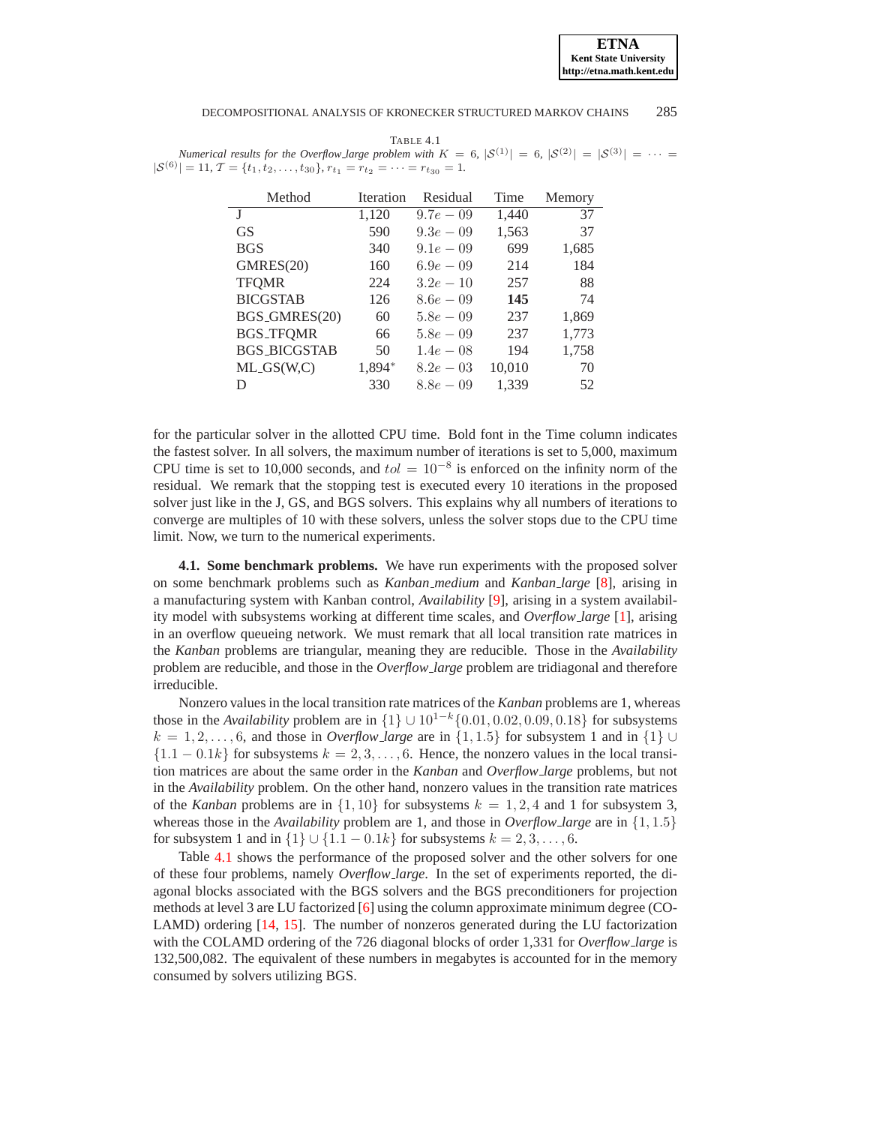**ETNA Kent State University http://etna.math.kent.edu**

### DECOMPOSITIONAL ANALYSIS OF KRONECKER STRUCTURED MARKOV CHAINS 285

<span id="page-14-0"></span>TABLE 4.1 *Numerical results for the Overflow <i>Large problem with*  $K = 6$ ,  $|S^{(1)}| = 6$ ,  $|S^{(2)}| = |S^{(3)}| = \cdots$  $|S^{(6)}| = 11, T = \{t_1, t_2, \ldots, t_{30}\}, r_{t_1} = r_{t_2} = \cdots = r_{t_{30}} = 1.$ 

| Method              | <b>Iteration</b> | Residual     | Time   | Memory |
|---------------------|------------------|--------------|--------|--------|
|                     | 1,120            | $9.7e - 0.9$ | 1,440  | 37     |
| GS                  | 590              | $9.3e - 0.9$ | 1,563  | 37     |
| <b>BGS</b>          | 340              | $9.1e - 0.9$ | 699    | 1,685  |
| GMRES(20)           | 160              | $6.9e - 0.9$ | 214    | 184    |
| <b>TFOMR</b>        | 224              | $3.2e - 10$  | 257    | 88     |
| <b>BICGSTAB</b>     | 126              | $8.6e - 0.9$ | 145    | 74     |
| BGS_GMRES(20)       | 60               | $5.8e - 0.9$ | 237    | 1,869  |
| <b>BGS_TFOMR</b>    | 66               | $5.8e - 0.9$ | 237    | 1,773  |
| <b>BGS_BICGSTAB</b> | 50               | $1.4e - 08$  | 194    | 1,758  |
| $ML_GS(W,C)$        | 1,894*           | $8.2e - 03$  | 10,010 | 70     |
| D                   | 330              | $8.8e - 0.9$ | 1,339  | 52     |

for the particular solver in the allotted CPU time. Bold font in the Time column indicates the fastest solver. In all solvers, the maximum number of iterations is set to 5,000, maximum CPU time is set to 10,000 seconds, and  $tol = 10^{-8}$  is enforced on the infinity norm of the residual. We remark that the stopping test is executed every 10 iterations in the proposed solver just like in the J, GS, and BGS solvers. This explains why all numbers of iterations to converge are multiples of 10 with these solvers, unless the solver stops due to the CPU time limit. Now, we turn to the numerical experiments.

**4.1. Some benchmark problems.** We have run experiments with the proposed solver on some benchmark problems such as *Kanban medium* and *Kanban large* [\[8\]](#page-22-10), arising in a manufacturing system with Kanban control, *Availability* [\[9\]](#page-22-11), arising in a system availability model with subsystems working at different time scales, and *Overflow large* [\[1\]](#page-22-18), arising in an overflow queueing network. We must remark that all local transition rate matrices in the *Kanban* problems are triangular, meaning they are reducible. Those in the *Availability* problem are reducible, and those in the *Overflow large* problem are tridiagonal and therefore irreducible.

Nonzero values in the local transition rate matrices of the *Kanban* problems are 1, whereas those in the *Availability* problem are in  $\{1\} \cup 10^{1-k} \{0.01, 0.02, 0.09, 0.18\}$  for subsystems  $k = 1, 2, \ldots, 6$ , and those in *Overflow\_large* are in {1, 1.5} for subsystem 1 and in {1} ∪  ${1.1 - 0.1k}$  for subsystems  $k = 2, 3, \ldots, 6$ . Hence, the nonzero values in the local transition matrices are about the same order in the *Kanban* and *Overflow large* problems, but not in the *Availability* problem. On the other hand, nonzero values in the transition rate matrices of the *Kanban* problems are in  $\{1, 10\}$  for subsystems  $k = 1, 2, 4$  and 1 for subsystem 3, whereas those in the *Availability* problem are 1, and those in *Overflow large* are in {1, 1.5} for subsystem 1 and in  $\{1\} \cup \{1.1 - 0.1k\}$  for subsystems  $k = 2, 3, \ldots, 6$ .

Table [4.1](#page-14-0) shows the performance of the proposed solver and the other solvers for one of these four problems, namely *Overflow large*. In the set of experiments reported, the diagonal blocks associated with the BGS solvers and the BGS preconditioners for projection methods at level 3 are LU factorized [\[6\]](#page-22-26) using the column approximate minimum degree (CO-LAMD) ordering [\[14,](#page-22-27) [15\]](#page-22-28). The number of nonzeros generated during the LU factorization with the COLAMD ordering of the 726 diagonal blocks of order 1,331 for *Overflow large* is 132,500,082. The equivalent of these numbers in megabytes is accounted for in the memory consumed by solvers utilizing BGS.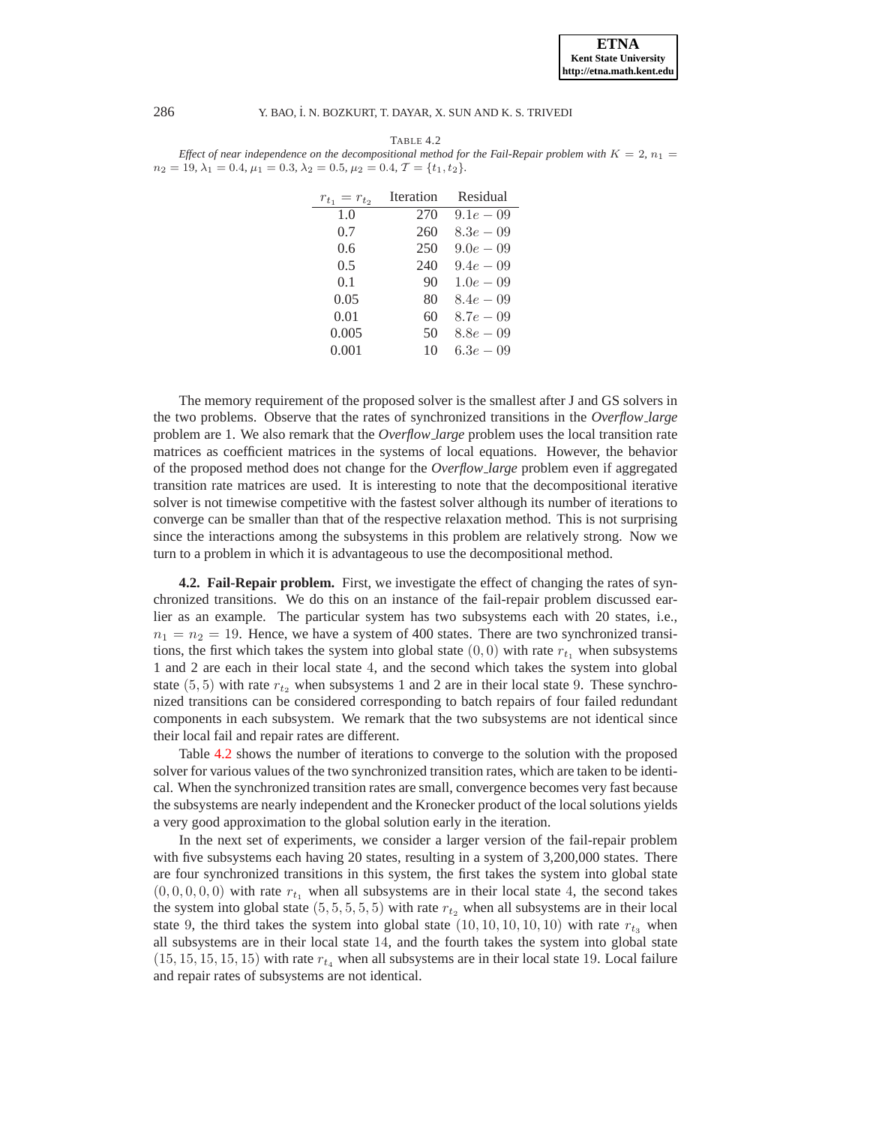

<span id="page-15-0"></span>

| TABLE 4.2                                                                                                    |  |
|--------------------------------------------------------------------------------------------------------------|--|
| Effect of near independence on the decompositional method for the Fail-Repair problem with $K = 2$ , $n_1 =$ |  |
| $n_2 = 19, \lambda_1 = 0.4, \mu_1 = 0.3, \lambda_2 = 0.5, \mu_2 = 0.4, \mathcal{T} = \{t_1, t_2\}.$          |  |

| $r_{t_1} = r_{t_2}$ | Iteration | Residual      |
|---------------------|-----------|---------------|
| 1.0                 | 270       | $9.1e - 0.9$  |
| 0.7                 | 260       | $8.3e - 0.9$  |
| 0.6                 | 250       | $9.0e - 0.9$  |
| 0.5                 | 240       | $9.4e - 0.9$  |
| 0.1                 | 90        | $1.0e - 0.9$  |
| 0.05                | 80        | $8.4e - 0.9$  |
| 0.01                | 60        | $8.7e - 0.9$  |
| 0.005               | 50        | $8.8e - 0.9$  |
| 0.001               | 10        | 6.3 $e - 0.9$ |

The memory requirement of the proposed solver is the smallest after J and GS solvers in the two problems. Observe that the rates of synchronized transitions in the *Overflow large* problem are 1. We also remark that the *Overflow large* problem uses the local transition rate matrices as coefficient matrices in the systems of local equations. However, the behavior of the proposed method does not change for the *Overflow large* problem even if aggregated transition rate matrices are used. It is interesting to note that the decompositional iterative solver is not timewise competitive with the fastest solver although its number of iterations to converge can be smaller than that of the respective relaxation method. This is not surprising since the interactions among the subsystems in this problem are relatively strong. Now we turn to a problem in which it is advantageous to use the decompositional method.

**4.2. Fail-Repair problem.** First, we investigate the effect of changing the rates of synchronized transitions. We do this on an instance of the fail-repair problem discussed earlier as an example. The particular system has two subsystems each with 20 states, i.e.,  $n_1 = n_2 = 19$ . Hence, we have a system of 400 states. There are two synchronized transitions, the first which takes the system into global state  $(0, 0)$  with rate  $r_{t_1}$  when subsystems 1 and 2 are each in their local state 4, and the second which takes the system into global state (5, 5) with rate  $r_{t_2}$  when subsystems 1 and 2 are in their local state 9. These synchronized transitions can be considered corresponding to batch repairs of four failed redundant components in each subsystem. We remark that the two subsystems are not identical since their local fail and repair rates are different.

Table [4.2](#page-15-0) shows the number of iterations to converge to the solution with the proposed solver for various values of the two synchronized transition rates, which are taken to be identical. When the synchronized transition rates are small, convergence becomes very fast because the subsystems are nearly independent and the Kronecker product of the local solutions yields a very good approximation to the global solution early in the iteration.

In the next set of experiments, we consider a larger version of the fail-repair problem with five subsystems each having 20 states, resulting in a system of 3,200,000 states. There are four synchronized transitions in this system, the first takes the system into global state  $(0, 0, 0, 0, 0)$  with rate  $r_{t_1}$  when all subsystems are in their local state 4, the second takes the system into global state  $(5, 5, 5, 5, 5)$  with rate  $r_{t_2}$  when all subsystems are in their local state 9, the third takes the system into global state  $(10, 10, 10, 10, 10)$  with rate  $r_{t_3}$  when all subsystems are in their local state 14, and the fourth takes the system into global state  $(15, 15, 15, 15, 15)$  with rate  $r_{t_4}$  when all subsystems are in their local state 19. Local failure and repair rates of subsystems are not identical.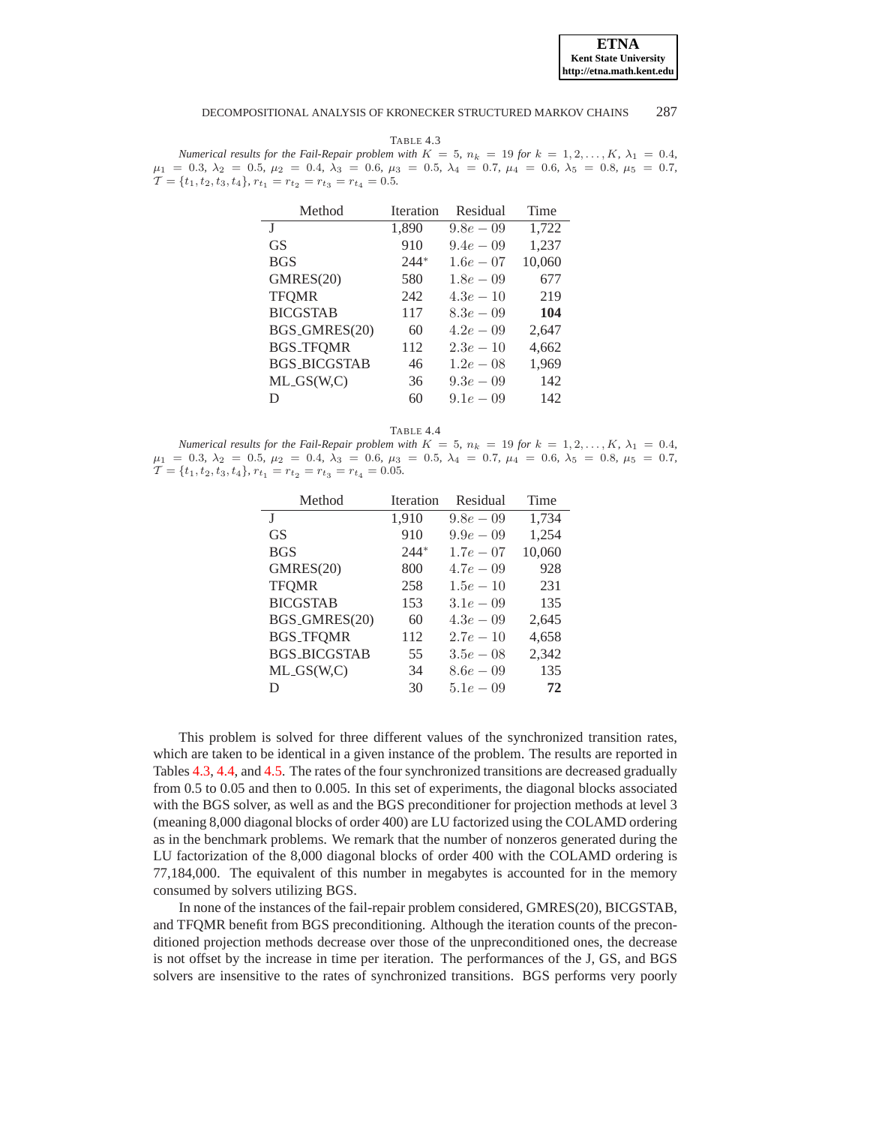**ETNA Kent State University http://etna.math.kent.edu**

#### DECOMPOSITIONAL ANALYSIS OF KRONECKER STRUCTURED MARKOV CHAINS 287

<span id="page-16-0"></span>TABLE 4.3 *Numerical results for the Fail-Repair problem with*  $K = 5$ ,  $n_k = 19$  *for*  $k = 1, 2, \ldots, K$ ,  $\lambda_1 = 0.4$ ,  $\mu_1 = 0.3, \ \lambda_2 = 0.5, \ \mu_2 = 0.4, \ \lambda_3 = 0.6, \ \mu_3 = 0.5, \ \lambda_4 = 0.7, \ \mu_4 = 0.6, \ \lambda_5 = 0.8, \ \mu_5 = 0.7,$  $\mathcal{T} = \{t_1, t_2, t_3, t_4\}, r_{t_1} = r_{t_2} = r_{t_3} = r_{t_4} = 0.5.$ 

| <b>Iteration</b> | Residual     | Time   |
|------------------|--------------|--------|
| 1,890            | $9.8e - 0.9$ | 1,722  |
| 910              | $9.4e - 0.9$ | 1,237  |
| $244*$           | $1.6e - 07$  | 10,060 |
| 580              | $1.8e - 0.9$ | 677    |
| 242              | $4.3e-10$    | 219    |
| 117              | $8.3e - 0.9$ | 104    |
| 60               | $4.2e - 0.9$ | 2,647  |
| 112              | $2.3e-10$    | 4,662  |
| 46               | $1.2e - 0.8$ | 1,969  |
| 36               | $9.3e - 0.9$ | 142    |
| 60               | $9.1e - 0.9$ | 142    |
|                  |              |        |

TABLE 4.4

<span id="page-16-1"></span>*Numerical results for the Fail-Repair problem with*  $K = 5$ ,  $n_k = 19$  *for*  $k = 1, 2, ..., K$ ,  $\lambda_1 = 0.4$ ,  $\mu_1 = 0.3, \ \lambda_2 = 0.5, \ \mu_2 = 0.4, \ \lambda_3 = 0.6, \ \mu_3 = 0.5, \ \lambda_4 = 0.7, \ \mu_4 = 0.6, \ \lambda_5 = 0.8, \ \mu_5 = 0.7,$  $\mathcal{T} = \{t_1, t_2, t_3, t_4\}, r_{t_1} = r_{t_2} = r_{t_3} = r_{t_4} = 0.05.$ 

| Method              | <b>Iteration</b> | Residual     | Time   |
|---------------------|------------------|--------------|--------|
|                     | 1,910            | $9.8e - 0.9$ | 1,734  |
| <b>GS</b>           | 910              | $9.9e - 0.9$ | 1,254  |
| <b>BGS</b>          | $244*$           | $1.7e-07$    | 10,060 |
| GMRES(20)           | 800              | $4.7e - 0.9$ | 928    |
| <b>TFOMR</b>        | 258              | $1.5e - 10$  | 231    |
| <b>BICGSTAB</b>     | 153              | $3.1e-0.9$   | 135    |
| BGS_GMRES(20)       | 60               | $4.3e-0.9$   | 2,645  |
| <b>BGS_TFOMR</b>    | 112              | $2.7e-10$    | 4,658  |
| <b>BGS_BICGSTAB</b> | 55               | $3.5e - 0.8$ | 2,342  |
| $ML_GS(W,C)$        | 34               | $8.6e - 0.9$ | 135    |
| D                   | 30               | $5.1e - 0.9$ | 72     |

This problem is solved for three different values of the synchronized transition rates, which are taken to be identical in a given instance of the problem. The results are reported in Tables [4.3,](#page-16-0) [4.4,](#page-16-1) and [4.5.](#page-17-0) The rates of the four synchronized transitions are decreased gradually from 0.5 to 0.05 and then to 0.005. In this set of experiments, the diagonal blocks associated with the BGS solver, as well as and the BGS preconditioner for projection methods at level 3 (meaning 8,000 diagonal blocks of order 400) are LU factorized using the COLAMD ordering as in the benchmark problems. We remark that the number of nonzeros generated during the LU factorization of the 8,000 diagonal blocks of order 400 with the COLAMD ordering is 77,184,000. The equivalent of this number in megabytes is accounted for in the memory consumed by solvers utilizing BGS.

In none of the instances of the fail-repair problem considered, GMRES(20), BICGSTAB, and TFQMR benefit from BGS preconditioning. Although the iteration counts of the preconditioned projection methods decrease over those of the unpreconditioned ones, the decrease is not offset by the increase in time per iteration. The performances of the J, GS, and BGS solvers are insensitive to the rates of synchronized transitions. BGS performs very poorly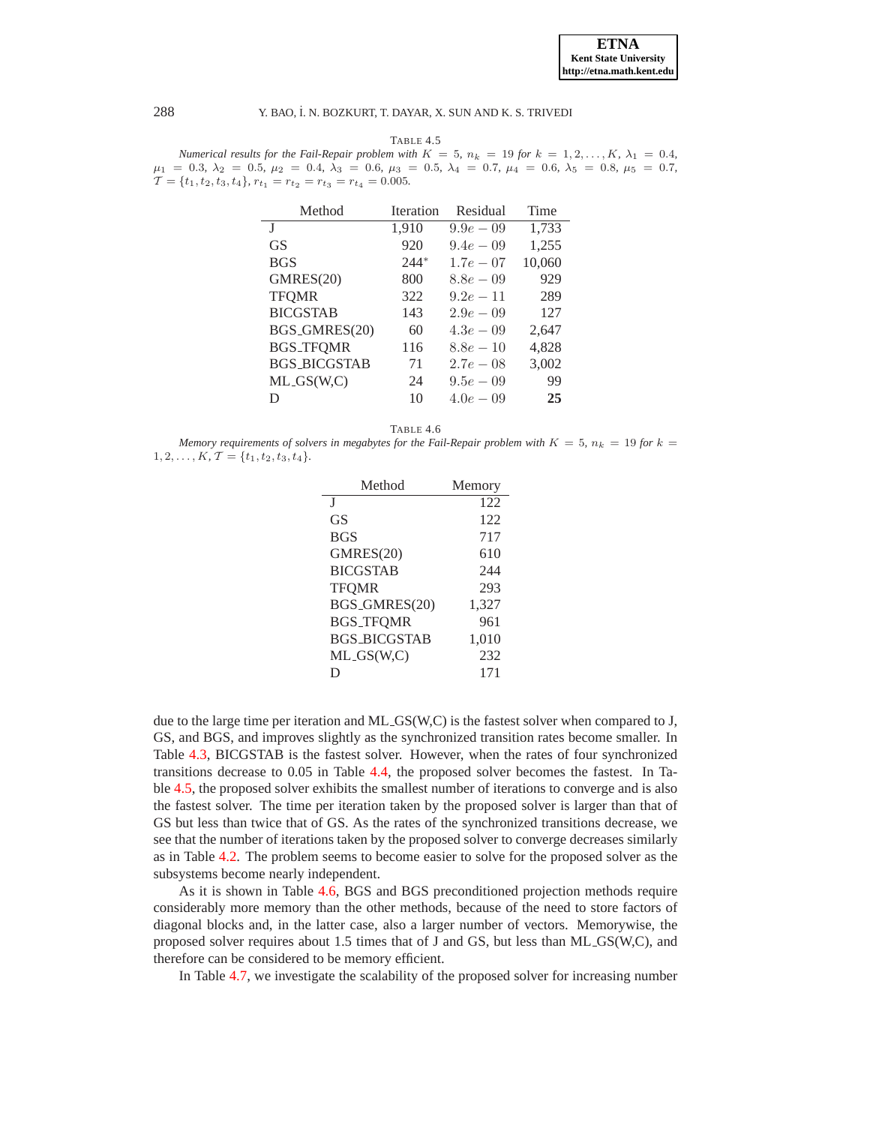**ETNA Kent State University http://etna.math.kent.edu**

### 288 Y. BAO, ˙I. N. BOZKURT, T. DAYAR, X. SUN AND K. S. TRIVEDI

TABLE 4.5

<span id="page-17-0"></span>*Numerical results for the Fail-Repair problem with*  $K = 5$ ,  $n_k = 19$  *for*  $k = 1, 2, \ldots, K$ ,  $\lambda_1 = 0.4$ ,  $\mu_1 = 0.3, \ \lambda_2 = 0.5, \ \mu_2 = 0.4, \ \lambda_3 = 0.6, \ \mu_3 = 0.5, \ \lambda_4 = 0.7, \ \mu_4 = 0.6, \ \lambda_5 = 0.8, \ \mu_5 = 0.7,$  $\mathcal{T} = \{t_1, t_2, t_3, t_4\}, r_{t_1} = r_{t_2} = r_{t_3} = r_{t_4} = 0.005.$ 

| Method              | Iteration | Residual     | Time   |
|---------------------|-----------|--------------|--------|
| J                   | 1,910     | $9.9e - 0.9$ | 1,733  |
| GS                  | 920       | $9.4e - 0.9$ | 1,255  |
| <b>BGS</b>          | $244*$    | $1.7e-07$    | 10,060 |
| GMRES(20)           | 800       | $8.8e - 0.9$ | 929    |
| <b>TFOMR</b>        | 322       | $9.2e - 11$  | 289    |
| <b>BICGSTAB</b>     | 143       | $2.9e - 0.9$ | 127    |
| BGS_GMRES(20)       | 60        | $4.3e-0.9$   | 2,647  |
| <b>BGS_TFOMR</b>    | 116       | $8.8e - 10$  | 4,828  |
| <b>BGS_BICGSTAB</b> | 71        | $2.7e-0.8$   | 3,002  |
| $ML_GS(W,C)$        | 24        | $9.5e - 0.9$ | 99     |
| D                   | 10        | $4.0e - 0.9$ | 25     |

TABLE 4.6

<span id="page-17-1"></span>*Memory requirements of solvers in megabytes for the Fail-Repair problem with*  $K = 5$ ,  $n_k = 19$  *for*  $k = 1$  $1, 2, \ldots, K, \mathcal{T} = \{t_1, t_2, t_3, t_4\}.$ 

| Method              | Memory |
|---------------------|--------|
| I                   | 122    |
| GS                  | 122    |
| <b>BGS</b>          | 717    |
| GMRES(20)           | 610    |
| <b>BICGSTAB</b>     | 244    |
| <b>TFOMR</b>        | 293    |
| BGS_GMRES(20)       | 1,327  |
| <b>BGS_TFOMR</b>    | 961    |
| <b>BGS_BICGSTAB</b> | 1,010  |
| $ML_GS(W,C)$        | 232    |
| D                   | 171    |

due to the large time per iteration and ML GS(W,C) is the fastest solver when compared to J, GS, and BGS, and improves slightly as the synchronized transition rates become smaller. In Table [4.3,](#page-16-0) BICGSTAB is the fastest solver. However, when the rates of four synchronized transitions decrease to 0.05 in Table [4.4,](#page-16-1) the proposed solver becomes the fastest. In Table [4.5,](#page-17-0) the proposed solver exhibits the smallest number of iterations to converge and is also the fastest solver. The time per iteration taken by the proposed solver is larger than that of GS but less than twice that of GS. As the rates of the synchronized transitions decrease, we see that the number of iterations taken by the proposed solver to converge decreases similarly as in Table [4.2.](#page-15-0) The problem seems to become easier to solve for the proposed solver as the subsystems become nearly independent.

As it is shown in Table [4.6,](#page-17-1) BGS and BGS preconditioned projection methods require considerably more memory than the other methods, because of the need to store factors of diagonal blocks and, in the latter case, also a larger number of vectors. Memorywise, the proposed solver requires about 1.5 times that of J and GS, but less than ML GS(W,C), and therefore can be considered to be memory efficient.

In Table [4.7,](#page-18-0) we investigate the scalability of the proposed solver for increasing number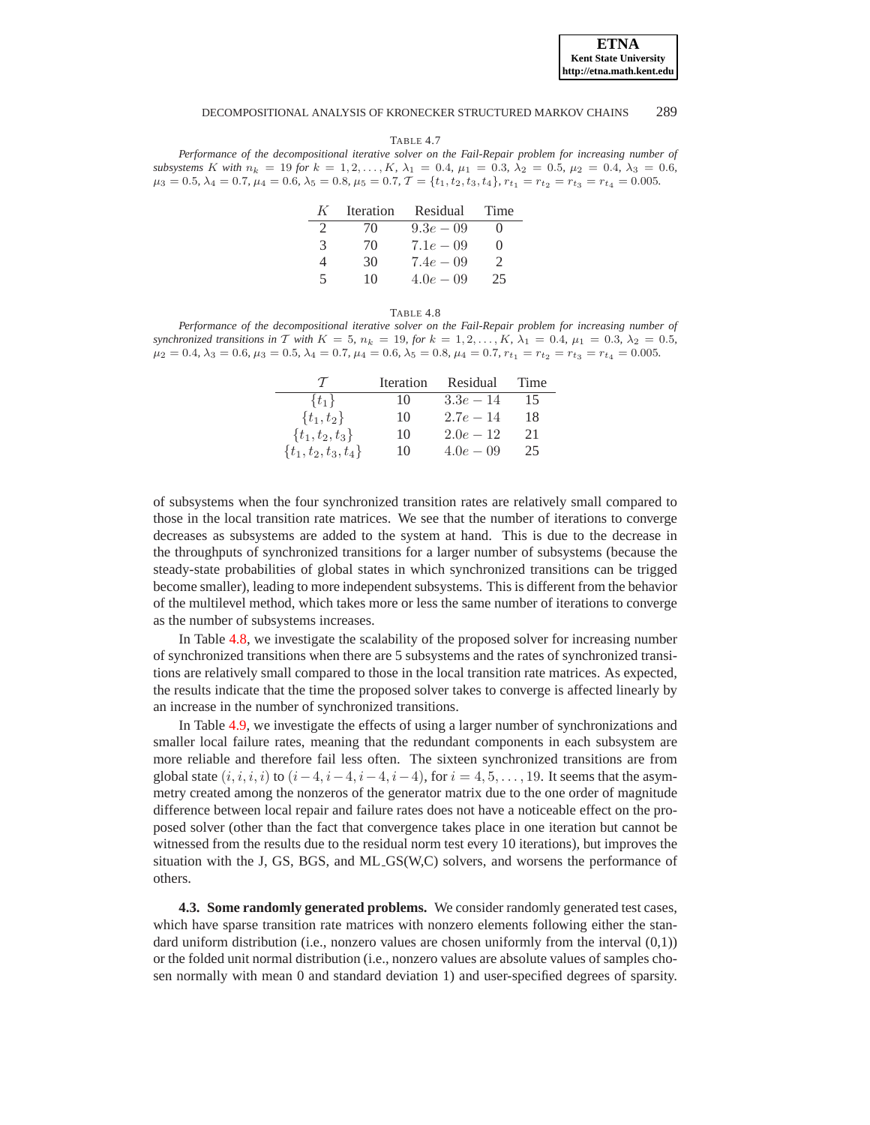TABLE 4.7

<span id="page-18-0"></span>*Performance of the decompositional iterative solver on the Fail-Repair problem for increasing number of subsystems* K with  $n_k = 19$  *for*  $k = 1, 2, ..., K$ ,  $\lambda_1 = 0.4$ ,  $\mu_1 = 0.3$ ,  $\lambda_2 = 0.5$ ,  $\mu_2 = 0.4$ ,  $\lambda_3 = 0.6$ ,  $\mu_3 = 0.5, \lambda_4 = 0.7, \mu_4 = 0.6, \lambda_5 = 0.8, \mu_5 = 0.7, \mathcal{T} = \{t_1, t_2, t_3, t_4\}, r_{t_1} = r_{t_2} = r_{t_3} = r_{t_4} = 0.005.$ 

| K                           | Iteration | Residual     | Time          |
|-----------------------------|-----------|--------------|---------------|
| $\mathcal{D}_{\mathcal{L}}$ | 70        | $9.3e - 0.9$ |               |
| $\mathcal{R}$               | 70        | $7.1e-0.9$   | $\Omega$      |
| 4                           | 30        | $7.4e - 0.9$ | $\mathcal{D}$ |
| 5                           | 10        | $4.0e - 0.9$ | 25            |

### TABLE 4.8

<span id="page-18-1"></span>*Performance of the decompositional iterative solver on the Fail-Repair problem for increasing number of synchronized transitions in* T *with*  $K = 5$ ,  $n_k = 19$ *, for*  $k = 1, 2, ..., K$ ,  $\lambda_1 = 0.4$ ,  $\mu_1 = 0.3$ ,  $\lambda_2 = 0.5$ *,*  $\mu_2 = 0.4, \lambda_3 = 0.6, \mu_3 = 0.5, \lambda_4 = 0.7, \mu_4 = 0.6, \lambda_5 = 0.8, \mu_4 = 0.7, r_{t_1} = r_{t_2} = r_{t_3} = r_{t_4} = 0.005.$ 

| $\mathcal{L}$            | Iteration | Residual     | Time |
|--------------------------|-----------|--------------|------|
| $\{t_1\}$                | 10        | $3.3e - 14$  | 15   |
| $\{t_1, t_2\}$           | 10        | $2.7e-14$    | 18   |
| $\{t_1, t_2, t_3\}$      | 10        | $2.0e-12$    | 21   |
| $\{t_1, t_2, t_3, t_4\}$ | 10        | $4.0e - 0.9$ | 25   |

of subsystems when the four synchronized transition rates are relatively small compared to those in the local transition rate matrices. We see that the number of iterations to converge decreases as subsystems are added to the system at hand. This is due to the decrease in the throughputs of synchronized transitions for a larger number of subsystems (because the steady-state probabilities of global states in which synchronized transitions can be trigged become smaller), leading to more independent subsystems. This is different from the behavior of the multilevel method, which takes more or less the same number of iterations to converge as the number of subsystems increases.

In Table [4.8,](#page-18-1) we investigate the scalability of the proposed solver for increasing number of synchronized transitions when there are 5 subsystems and the rates of synchronized transitions are relatively small compared to those in the local transition rate matrices. As expected, the results indicate that the time the proposed solver takes to converge is affected linearly by an increase in the number of synchronized transitions.

In Table [4.9,](#page-19-0) we investigate the effects of using a larger number of synchronizations and smaller local failure rates, meaning that the redundant components in each subsystem are more reliable and therefore fail less often. The sixteen synchronized transitions are from global state  $(i, i, i, i)$  to  $(i-4, i-4, i-4, i-4)$ , for  $i = 4, 5, ..., 19$ . It seems that the asymmetry created among the nonzeros of the generator matrix due to the one order of magnitude difference between local repair and failure rates does not have a noticeable effect on the proposed solver (other than the fact that convergence takes place in one iteration but cannot be witnessed from the results due to the residual norm test every 10 iterations), but improves the situation with the J, GS, BGS, and ML GS(W,C) solvers, and worsens the performance of others.

**4.3. Some randomly generated problems.** We consider randomly generated test cases, which have sparse transition rate matrices with nonzero elements following either the standard uniform distribution (i.e., nonzero values are chosen uniformly from the interval  $(0,1)$ ) or the folded unit normal distribution (i.e., nonzero values are absolute values of samples chosen normally with mean 0 and standard deviation 1) and user-specified degrees of sparsity.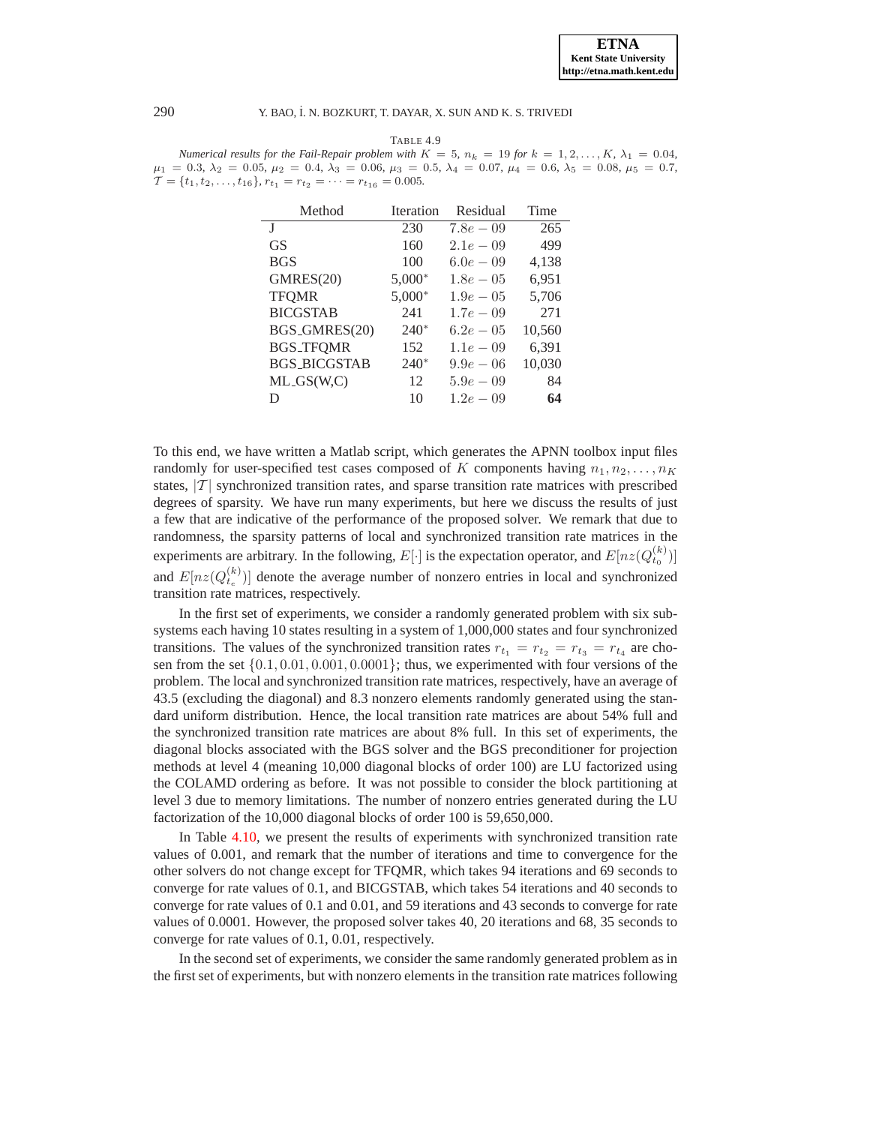<span id="page-19-0"></span>TABLE 4.9 *Numerical results for the Fail-Repair problem with*  $K = 5$ ,  $n_k = 19$  *for*  $k = 1, 2, \ldots, K$ ,  $\lambda_1 = 0.04$ ,  $\mu_1 = 0.3, \lambda_2 = 0.05, \mu_2 = 0.4, \lambda_3 = 0.06, \mu_3 = 0.5, \lambda_4 = 0.07, \mu_4 = 0.6, \lambda_5 = 0.08, \mu_5 = 0.7,$  $\mathcal{T} = \{t_1, t_2, \ldots, t_{16}\}, r_{t_1} = r_{t_2} = \cdots = r_{t_{16}} = 0.005.$ 

| Method              | <b>Iteration</b> | Residual     | Time   |
|---------------------|------------------|--------------|--------|
| T                   | 230              | $7.8e - 0.9$ | 265    |
| GS                  | 160              | $2.1e-0.9$   | 499    |
| <b>BGS</b>          | 100              | $6.0e - 0.9$ | 4,138  |
| GMRES(20)           | $5,000*$         | $1.8e - 0.5$ | 6,951  |
| <b>TFOMR</b>        | $5,000*$         | $1.9e - 0.5$ | 5,706  |
| <b>BICGSTAB</b>     | 241              | $1.7e - 0.9$ | 271    |
| BGS_GMRES(20)       | $240*$           | $6.2e - 0.5$ | 10,560 |
| <b>BGS_TFOMR</b>    | 152              | $1.1e - 0.9$ | 6,391  |
| <b>BGS_BICGSTAB</b> | $240*$           | $9.9e - 06$  | 10,030 |
| $ML_GS(W,C)$        | 12               | $5.9e - 0.9$ | 84     |
| D                   | 10               | $1.2e - 0.9$ | 64     |

To this end, we have written a Matlab script, which generates the APNN toolbox input files randomly for user-specified test cases composed of K components having  $n_1, n_2, \ldots, n_K$ states,  $|\mathcal{T}|$  synchronized transition rates, and sparse transition rate matrices with prescribed degrees of sparsity. We have run many experiments, but here we discuss the results of just a few that are indicative of the performance of the proposed solver. We remark that due to randomness, the sparsity patterns of local and synchronized transition rate matrices in the experiments are arbitrary. In the following,  $E[\cdot]$  is the expectation operator, and  $E[nz(Q_{t_0}^{(k)})]$ and  $E[nz(Q_{t_e}^{(k)})]$  denote the average number of nonzero entries in local and synchronized transition rate matrices, respectively.

In the first set of experiments, we consider a randomly generated problem with six subsystems each having 10 states resulting in a system of 1,000,000 states and four synchronized transitions. The values of the synchronized transition rates  $r_{t_1} = r_{t_2} = r_{t_3} = r_{t_4}$  are chosen from the set  $\{0.1, 0.01, 0.001, 0.0001\}$ ; thus, we experimented with four versions of the problem. The local and synchronized transition rate matrices, respectively, have an average of 43.5 (excluding the diagonal) and 8.3 nonzero elements randomly generated using the standard uniform distribution. Hence, the local transition rate matrices are about 54% full and the synchronized transition rate matrices are about 8% full. In this set of experiments, the diagonal blocks associated with the BGS solver and the BGS preconditioner for projection methods at level 4 (meaning 10,000 diagonal blocks of order 100) are LU factorized using the COLAMD ordering as before. It was not possible to consider the block partitioning at level 3 due to memory limitations. The number of nonzero entries generated during the LU factorization of the 10,000 diagonal blocks of order 100 is 59,650,000.

In Table [4.10,](#page-20-0) we present the results of experiments with synchronized transition rate values of 0.001, and remark that the number of iterations and time to convergence for the other solvers do not change except for TFQMR, which takes 94 iterations and 69 seconds to converge for rate values of 0.1, and BICGSTAB, which takes 54 iterations and 40 seconds to converge for rate values of 0.1 and 0.01, and 59 iterations and 43 seconds to converge for rate values of 0.0001. However, the proposed solver takes 40, 20 iterations and 68, 35 seconds to converge for rate values of 0.1, 0.01, respectively.

In the second set of experiments, we consider the same randomly generated problem as in the first set of experiments, but with nonzero elements in the transition rate matrices following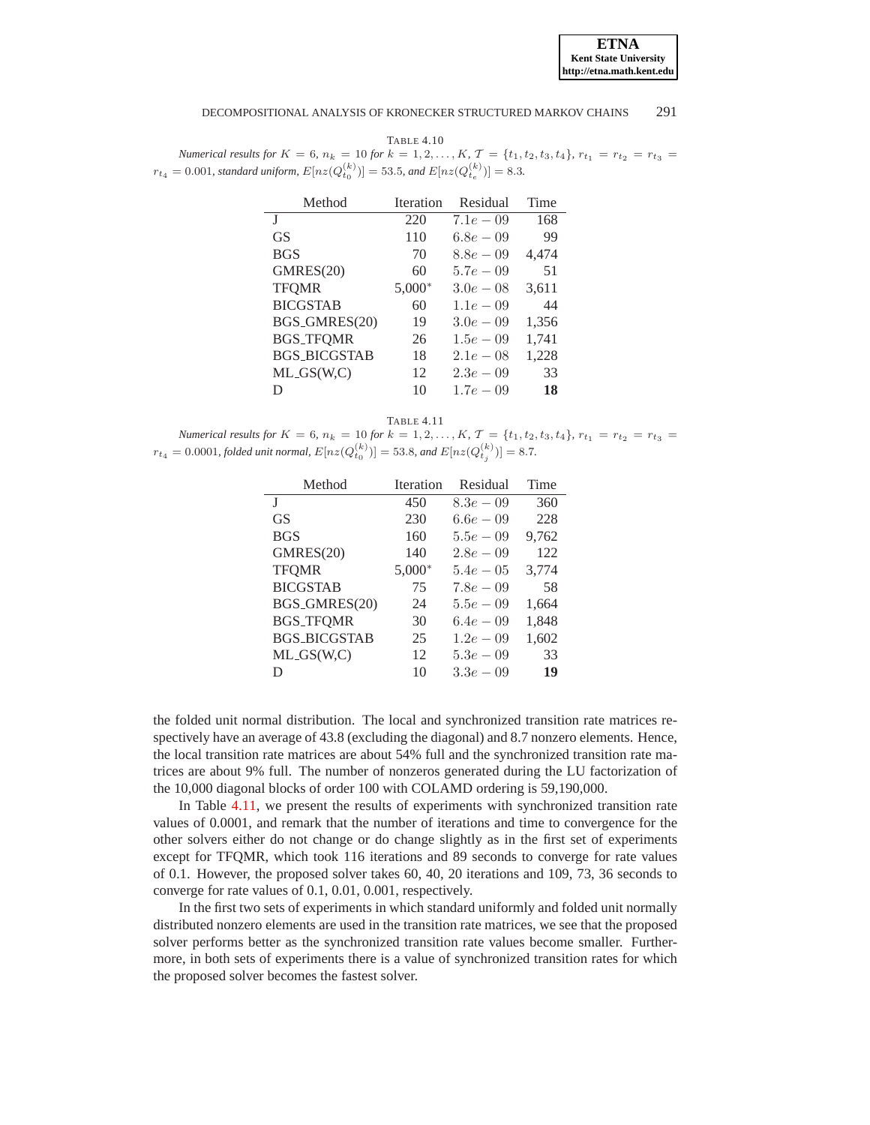

<span id="page-20-0"></span>TABLE 4.10 *Numerical results for*  $K = 6$ ,  $n_k = 10$  *for*  $k = 1, 2, ..., K$ ,  $\mathcal{T} = \{t_1, t_2, t_3, t_4\}$ ,  $r_{t_1} = r_{t_2} = r_{t_3} =$  $r_{t_4} = 0.001$ , standard uniform,  $E[nz(Q_{t_0}^{(k)})] = 53.5$ , and  $E[nz(Q_{t_e}^{(k)})] = 8.3$ .

| Method              | Iteration | Residual     | Time  |
|---------------------|-----------|--------------|-------|
| J                   | 220       | $7.1e-0.9$   | 168   |
| GS <sup>-</sup>     | 110       | $6.8e - 0.9$ | 99    |
| <b>BGS</b>          | 70        | $8.8e - 0.9$ | 4,474 |
| GMRES(20)           | 60        | $5.7e - 0.9$ | 51    |
| <b>TFOMR</b>        | $5,000*$  | $3.0e - 0.8$ | 3,611 |
| <b>BICGSTAB</b>     | 60        | $1.1e - 0.9$ | 44    |
| BGS_GMRES(20)       | 19        | $3.0e - 0.9$ | 1,356 |
| <b>BGS_TFQMR</b>    | 26        | $1.5e - 0.9$ | 1,741 |
| <b>BGS BICGSTAB</b> | 18        | $2.1e-0.8$   | 1,228 |
| $ML_GS(W,C)$        | 12        | $2.3e-0.9$   | 33    |
| D                   | 10        | $1.7e - 0.9$ | 18    |

## TABLE 4.11

<span id="page-20-1"></span>*Numerical results for*  $K = 6$ ,  $n_k = 10$  *for*  $k = 1, 2, ..., K$ ,  $\mathcal{T} = \{t_1, t_2, t_3, t_4\}$ ,  $r_{t_1} = r_{t_2} = r_{t_3} =$  $r_{t_4} = 0.0001$ , folded unit normal,  $E[nz(Q_{t_0}^{(k)})] = 53.8$ , and  $E[nz(Q_{t_j}^{(k)})] = 8.7$ .

| Method              | <b>Iteration</b> | Residual     | Time  |
|---------------------|------------------|--------------|-------|
| T                   | 450              | $8.3e - 0.9$ | 360   |
| <b>GS</b>           | 230              | $6.6e - 0.9$ | 228   |
| <b>BGS</b>          | 160              | $5.5e - 0.9$ | 9,762 |
| GMRES(20)           | 140              | $2.8e - 0.9$ | 122   |
| <b>TFOMR</b>        | $5,000*$         | $5.4e - 0.5$ | 3,774 |
| <b>BICGSTAB</b>     | 75               | $7.8e-0.9$   | 58    |
| BGS_GMRES(20)       | 24               | $5.5e - 0.9$ | 1,664 |
| <b>BGS_TFQMR</b>    | 30               | $6.4e - 0.9$ | 1,848 |
| <b>BGS_BICGSTAB</b> | 25               | $1.2e - 0.9$ | 1,602 |
| $ML_GS(W,C)$        | 12               | $5.3e - 0.9$ | 33    |
| D                   | 10               | $3.3e - 0.9$ | 19    |

the folded unit normal distribution. The local and synchronized transition rate matrices respectively have an average of 43.8 (excluding the diagonal) and 8.7 nonzero elements. Hence, the local transition rate matrices are about 54% full and the synchronized transition rate matrices are about 9% full. The number of nonzeros generated during the LU factorization of the 10,000 diagonal blocks of order 100 with COLAMD ordering is 59,190,000.

In Table [4.11,](#page-20-1) we present the results of experiments with synchronized transition rate values of 0.0001, and remark that the number of iterations and time to convergence for the other solvers either do not change or do change slightly as in the first set of experiments except for TFQMR, which took 116 iterations and 89 seconds to converge for rate values of 0.1. However, the proposed solver takes 60, 40, 20 iterations and 109, 73, 36 seconds to converge for rate values of 0.1, 0.01, 0.001, respectively.

In the first two sets of experiments in which standard uniformly and folded unit normally distributed nonzero elements are used in the transition rate matrices, we see that the proposed solver performs better as the synchronized transition rate values become smaller. Furthermore, in both sets of experiments there is a value of synchronized transition rates for which the proposed solver becomes the fastest solver.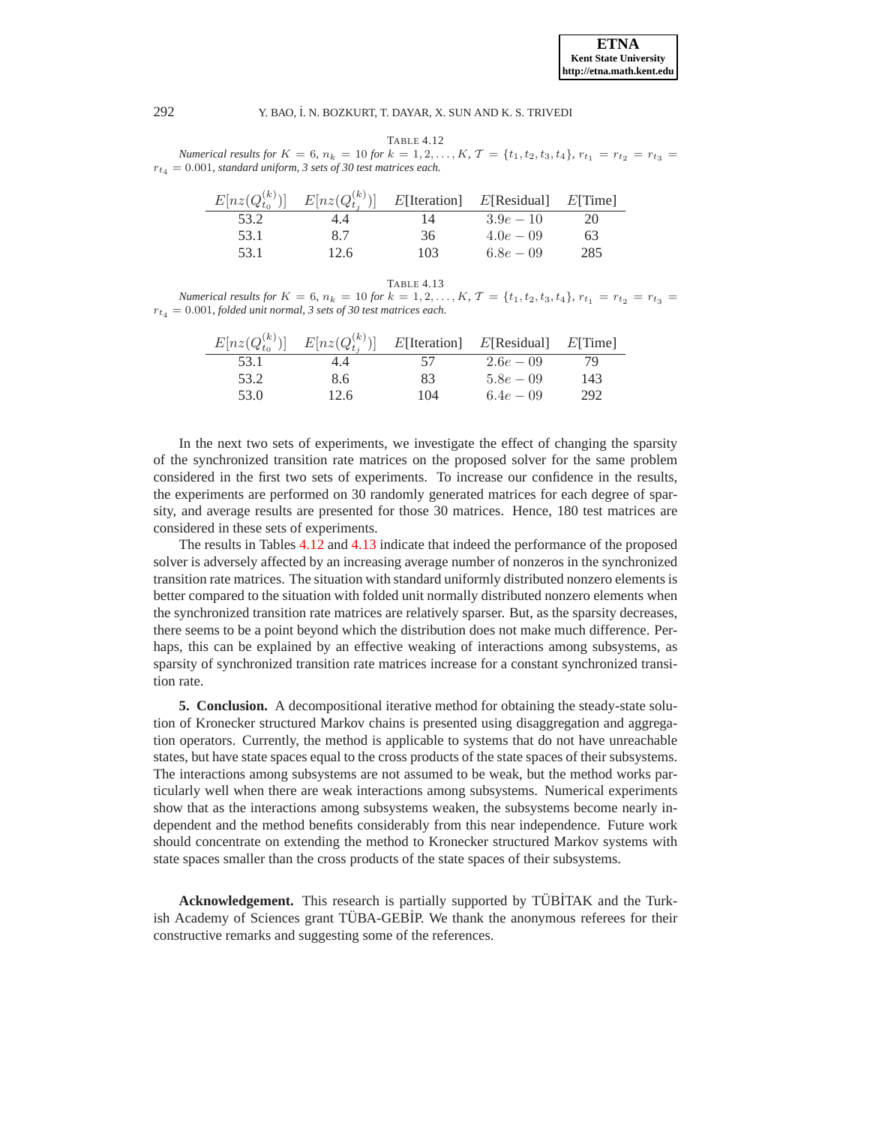<span id="page-21-1"></span>TABLE 4.12 *Numerical results for*  $K = 6$ ,  $n_k = 10$  *for*  $k = 1, 2, ..., K$ ,  $\mathcal{T} = \{t_1, t_2, t_3, t_4\}$ ,  $r_{t_1} = r_{t_2} = r_{t_3} =$  $r_{t_4} = 0.001$ , standard uniform, 3 sets of 30 test matrices each.

| $E[nz(Q_{t_0}^{(k)})]$ | $E[nz(Q_{t_i}^{(k)})]$ |     | $E[Iteration]$ $E[Residual]$ $E[Time]$ |     |
|------------------------|------------------------|-----|----------------------------------------|-----|
| 53.2                   | 4.4                    | 14  | $3.9e - 10$                            | 20  |
| 53.1                   | 8.7                    | 36  | $4.0e - 0.9$                           | 63  |
| 53.1                   | 12.6                   | 103 | $6.8e - 0.9$                           | 285 |

<span id="page-21-2"></span>TABLE 4.13 *Numerical results for*  $K = 6$ *,*  $n_k = 10$  *for*  $k = 1, 2, ..., K$ ,  $\mathcal{T} = \{t_1, t_2, t_3, t_4\}$ ,  $r_{t_1} = r_{t_2} = r_{t_3}$  $r_{t_4} = 0.001$ , folded unit normal, 3 sets of 30 test matrices each.

| $E[nz(Q_{t_0}^{(k)})]$ | $E[nz(Q_{t_i}^{(k)})]$ |     | $E[Iteration]$ $E[Residual]$ $E[Time]$ |     |
|------------------------|------------------------|-----|----------------------------------------|-----|
| 53.1                   | 4.4                    | 57  | $2.6e - 0.9$                           | 79  |
| 53.2                   | 8.6                    | 83  | $5.8e - 0.9$                           | 143 |
| 53.0                   | 12.6                   | 104 | $6.4e - 0.9$                           | 292 |

In the next two sets of experiments, we investigate the effect of changing the sparsity of the synchronized transition rate matrices on the proposed solver for the same problem considered in the first two sets of experiments. To increase our confidence in the results, the experiments are performed on 30 randomly generated matrices for each degree of sparsity, and average results are presented for those 30 matrices. Hence, 180 test matrices are considered in these sets of experiments.

The results in Tables [4.12](#page-21-1) and [4.13](#page-21-2) indicate that indeed the performance of the proposed solver is adversely affected by an increasing average number of nonzeros in the synchronized transition rate matrices. The situation with standard uniformly distributed nonzero elements is better compared to the situation with folded unit normally distributed nonzero elements when the synchronized transition rate matrices are relatively sparser. But, as the sparsity decreases, there seems to be a point beyond which the distribution does not make much difference. Perhaps, this can be explained by an effective weaking of interactions among subsystems, as sparsity of synchronized transition rate matrices increase for a constant synchronized transition rate.

<span id="page-21-0"></span>**5. Conclusion.** A decompositional iterative method for obtaining the steady-state solution of Kronecker structured Markov chains is presented using disaggregation and aggregation operators. Currently, the method is applicable to systems that do not have unreachable states, but have state spaces equal to the cross products of the state spaces of their subsystems. The interactions among subsystems are not assumed to be weak, but the method works particularly well when there are weak interactions among subsystems. Numerical experiments show that as the interactions among subsystems weaken, the subsystems become nearly independent and the method benefits considerably from this near independence. Future work should concentrate on extending the method to Kronecker structured Markov systems with state spaces smaller than the cross products of the state spaces of their subsystems.

**Acknowledgement.** This research is partially supported by TÜBİTAK and the Turkish Academy of Sciences grant TÜBA-GEBIP. We thank the anonymous referees for their constructive remarks and suggesting some of the references.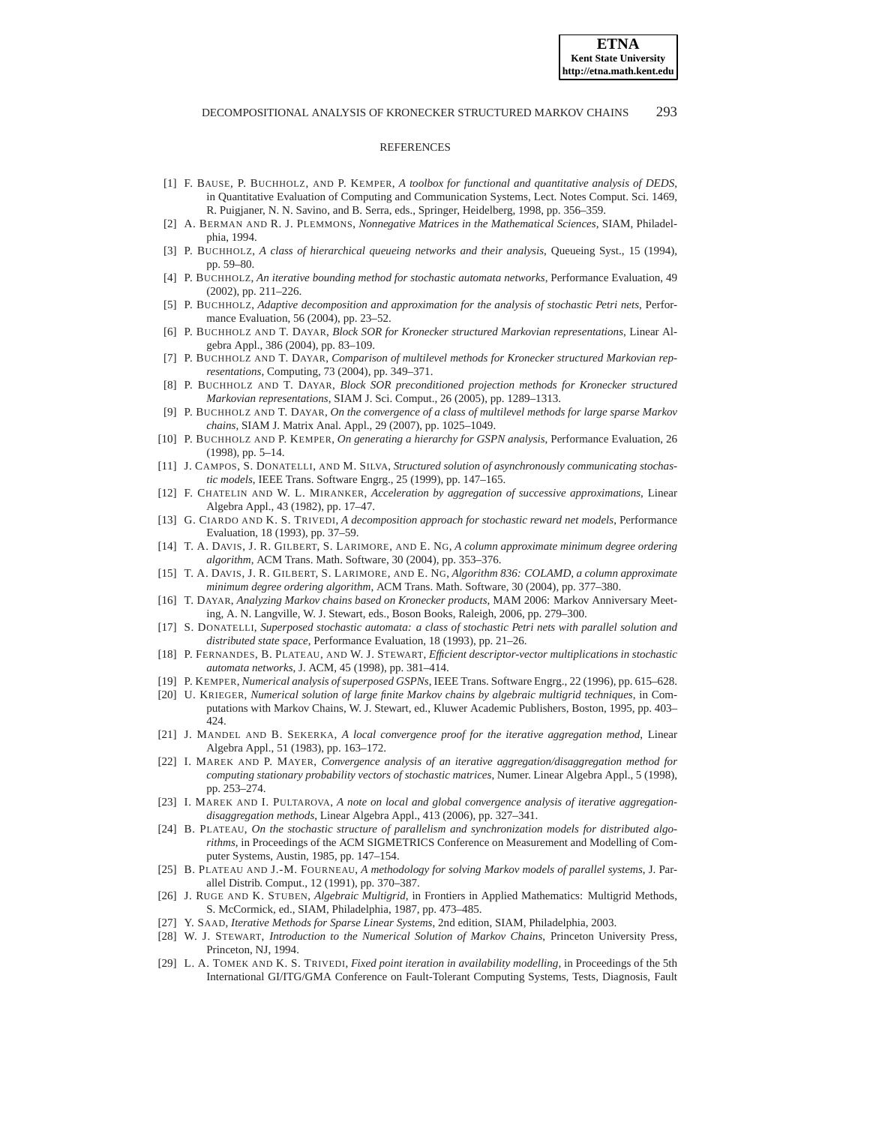#### **REFERENCES**

- <span id="page-22-18"></span>[1] F. BAUSE, P. BUCHHOLZ, AND P. KEMPER, *A toolbox for functional and quantitative analysis of DEDS*, in Quantitative Evaluation of Computing and Communication Systems, Lect. Notes Comput. Sci. 1469, R. Puigjaner, N. N. Savino, and B. Serra, eds., Springer, Heidelberg, 1998, pp. 356–359.
- <span id="page-22-19"></span>[2] A. BERMAN AND R. J. PLEMMONS, *Nonnegative Matrices in the Mathematical Sciences*, SIAM, Philadelphia, 1994.
- <span id="page-22-6"></span>[3] P. BUCHHOLZ, *A class of hierarchical queueing networks and their analysis*, Queueing Syst., 15 (1994), pp. 59–80.
- <span id="page-22-17"></span><span id="page-22-16"></span>[4] P. BUCHHOLZ, *An iterative bounding method for stochastic automata networks*, Performance Evaluation, 49 (2002), pp. 211–226.
- [5] P. BUCHHOLZ, *Adaptive decomposition and approximation for the analysis of stochastic Petri nets*, Performance Evaluation, 56 (2004), pp. 23–52.
- <span id="page-22-26"></span><span id="page-22-9"></span>[6] P. BUCHHOLZ AND T. DAYAR, *Block SOR for Kronecker structured Markovian representations*, Linear Algebra Appl., 386 (2004), pp. 83–109.
- [7] P. BUCHHOLZ AND T. DAYAR, *Comparison of multilevel methods for Kronecker structured Markovian representations*, Computing, 73 (2004), pp. 349–371.
- <span id="page-22-10"></span>[8] P. BUCHHOLZ AND T. DAYAR, *Block SOR preconditioned projection methods for Kronecker structured Markovian representations*, SIAM J. Sci. Comput., 26 (2005), pp. 1289–1313.
- <span id="page-22-11"></span>[9] P. BUCHHOLZ AND T. DAYAR, *On the convergence of a class of multilevel methods for large sparse Markov chains*, SIAM J. Matrix Anal. Appl., 29 (2007), pp. 1025–1049.
- <span id="page-22-7"></span>[10] P. BUCHHOLZ AND P. KEMPER, *On generating a hierarchy for GSPN analysis*, Performance Evaluation, 26 (1998), pp. 5–14.
- <span id="page-22-8"></span>[11] J. CAMPOS, S. DONATELLI, AND M. SILVA, *Structured solution of asynchronously communicating stochastic models*, IEEE Trans. Software Engrg., 25 (1999), pp. 147–165.
- <span id="page-22-20"></span>[12] F. CHATELIN AND W. L. MIRANKER, *Acceleration by aggregation of successive approximations*, Linear Algebra Appl., 43 (1982), pp. 17–47.
- <span id="page-22-14"></span>[13] G. CIARDO AND K. S. TRIVEDI, *A decomposition approach for stochastic reward net models*, Performance Evaluation, 18 (1993), pp. 37–59.
- <span id="page-22-27"></span>[14] T. A. DAVIS, J. R. GILBERT, S. LARIMORE, AND E. NG, *A column approximate minimum degree ordering algorithm*, ACM Trans. Math. Software, 30 (2004), pp. 353–376.
- <span id="page-22-28"></span>[15] T. A. DAVIS, J. R. GILBERT, S. LARIMORE, AND E. NG, *Algorithm 836: COLAMD, a column approximate minimum degree ordering algorithm*, ACM Trans. Math. Software, 30 (2004), pp. 377–380.
- <span id="page-22-12"></span>[16] T. DAYAR, *Analyzing Markov chains based on Kronecker products*, MAM 2006: Markov Anniversary Meeting, A. N. Langville, W. J. Stewart, eds., Boson Books, Raleigh, 2006, pp. 279–300.
- <span id="page-22-4"></span>[17] S. DONATELLI, *Superposed stochastic automata: a class of stochastic Petri nets with parallel solution and distributed state space*, Performance Evaluation, 18 (1993), pp. 21–26.
- <span id="page-22-1"></span>[18] P. FERNANDES, B. PLATEAU, AND W. J. STEWART, *Efficient descriptor-vector multiplications in stochastic automata networks*, J. ACM, 45 (1998), pp. 381–414.
- <span id="page-22-22"></span><span id="page-22-5"></span>[19] P. KEMPER, *Numerical analysis of superposed GSPNs*, IEEE Trans. Software Engrg., 22 (1996), pp. 615–628.
- [20] U. KRIEGER, *Numerical solution of large finite Markov chains by algebraic multigrid techniques*, in Computations with Markov Chains, W. J. Stewart, ed., Kluwer Academic Publishers, Boston, 1995, pp. 403– 424.
- <span id="page-22-21"></span>[21] J. MANDEL AND B. SEKERKA, *A local convergence proof for the iterative aggregation method*, Linear Algebra Appl., 51 (1983), pp. 163–172.
- <span id="page-22-23"></span>[22] I. MAREK AND P. MAYER, *Convergence analysis of an iterative aggregation/disaggregation method for computing stationary probability vectors of stochastic matrices*, Numer. Linear Algebra Appl., 5 (1998), pp. 253–274.
- <span id="page-22-24"></span>[23] I. MAREK AND I. PULTAROVA, *A note on local and global convergence analysis of iterative aggregationdisaggregation methods*, Linear Algebra Appl., 413 (2006), pp. 327–341.
- <span id="page-22-0"></span>[24] B. PLATEAU, *On the stochastic structure of parallelism and synchronization models for distributed algorithms*, in Proceedings of the ACM SIGMETRICS Conference on Measurement and Modelling of Computer Systems, Austin, 1985, pp. 147–154.
- <span id="page-22-3"></span>[25] B. PLATEAU AND J.-M. FOURNEAU, *A methodology for solving Markov models of parallel systems*, J. Parallel Distrib. Comput., 12 (1991), pp. 370–387.
- <span id="page-22-13"></span>[26] J. RUGE AND K. STUBEN, *Algebraic Multigrid*, in Frontiers in Applied Mathematics: Multigrid Methods, S. McCormick, ed., SIAM, Philadelphia, 1987, pp. 473–485.
- <span id="page-22-25"></span><span id="page-22-2"></span>[27] Y. SAAD, *Iterative Methods for Sparse Linear Systems*, 2nd edition, SIAM, Philadelphia, 2003.
- [28] W. J. STEWART, *Introduction to the Numerical Solution of Markov Chains*, Princeton University Press, Princeton, NJ, 1994.
- <span id="page-22-15"></span>[29] L. A. TOMEK AND K. S. TRIVEDI, *Fixed point iteration in availability modelling*, in Proceedings of the 5th International GI/ITG/GMA Conference on Fault-Tolerant Computing Systems, Tests, Diagnosis, Fault